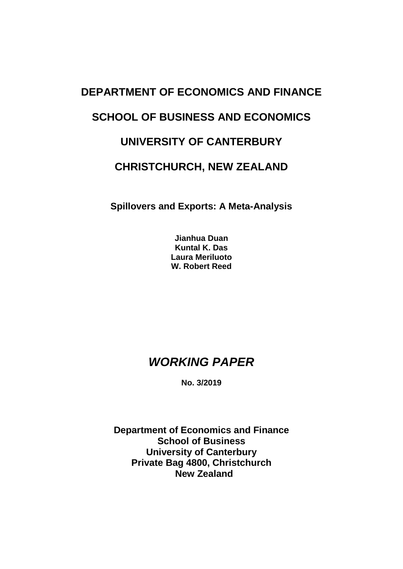# **DEPARTMENT OF ECONOMICS AND FINANCE SCHOOL OF BUSINESS AND ECONOMICS UNIVERSITY OF CANTERBURY CHRISTCHURCH, NEW ZEALAND**

**Spillovers and Exports: A Meta-Analysis**

**Jianhua Duan Kuntal K. Das Laura Meriluoto W. Robert Reed**

# *WORKING PAPER*

**No. 3/2019**

**Department of Economics and Finance School of Business University of Canterbury Private Bag 4800, Christchurch New Zealand**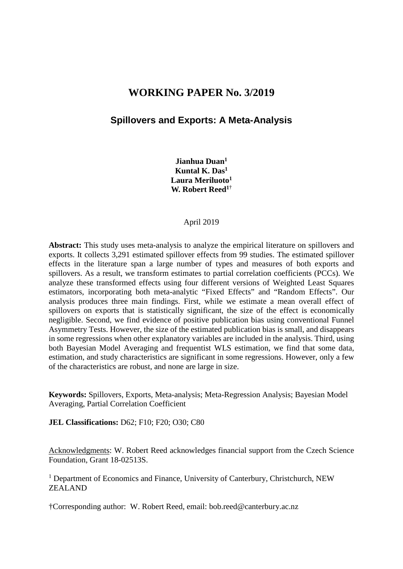## **WORKING PAPER No. 3/2019**

## **Spillovers and Exports: A Meta-Analysis**

**Jianhua Duan1 Kuntal K. Das1** Laura Meriluoto<sup>1</sup> **W. Robert Reed1**†

#### April 2019

**Abstract:** This study uses meta-analysis to analyze the empirical literature on spillovers and exports. It collects 3,291 estimated spillover effects from 99 studies. The estimated spillover effects in the literature span a large number of types and measures of both exports and spillovers. As a result, we transform estimates to partial correlation coefficients (PCCs). We analyze these transformed effects using four different versions of Weighted Least Squares estimators, incorporating both meta-analytic "Fixed Effects" and "Random Effects". Our analysis produces three main findings. First, while we estimate a mean overall effect of spillovers on exports that is statistically significant, the size of the effect is economically negligible. Second, we find evidence of positive publication bias using conventional Funnel Asymmetry Tests. However, the size of the estimated publication bias is small, and disappears in some regressions when other explanatory variables are included in the analysis. Third, using both Bayesian Model Averaging and frequentist WLS estimation, we find that some data, estimation, and study characteristics are significant in some regressions. However, only a few of the characteristics are robust, and none are large in size.

**Keywords:** Spillovers, Exports, Meta-analysis; Meta-Regression Analysis; Bayesian Model Averaging, Partial Correlation Coefficient

**JEL Classifications:** D62; F10; F20; O30; C80

Acknowledgments: W. Robert Reed acknowledges financial support from the Czech Science Foundation, Grant 18-02513S.

<sup>1</sup> Department of Economics and Finance, University of Canterbury, Christchurch, NEW ZEALAND

†Corresponding author: W. Robert Reed, email: bob.reed@canterbury.ac.nz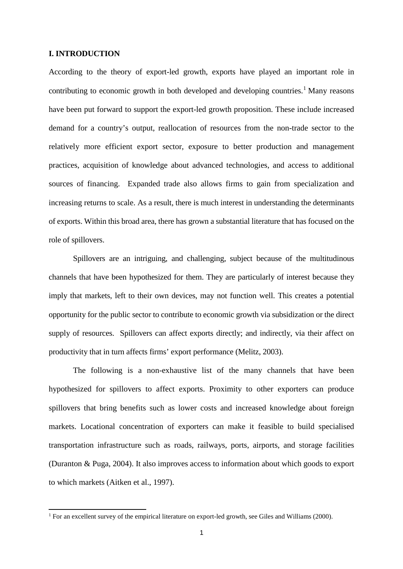#### **I. INTRODUCTION**

-

According to the theory of export-led growth, exports have played an important role in contributing to economic growth in both developed and developing countries.<sup>[1](#page-2-0)</sup> Many reasons have been put forward to support the export-led growth proposition. These include increased demand for a country's output, reallocation of resources from the non-trade sector to the relatively more efficient export sector, exposure to better production and management practices, acquisition of knowledge about advanced technologies, and access to additional sources of financing. Expanded trade also allows firms to gain from specialization and increasing returns to scale. As a result, there is much interest in understanding the determinants of exports. Within this broad area, there has grown a substantial literature that has focused on the role of spillovers.

Spillovers are an intriguing, and challenging, subject because of the multitudinous channels that have been hypothesized for them. They are particularly of interest because they imply that markets, left to their own devices, may not function well. This creates a potential opportunity for the public sector to contribute to economic growth via subsidization or the direct supply of resources. Spillovers can affect exports directly; and indirectly, via their affect on productivity that in turn affects firms' export performance (Melitz, 2003).

The following is a non-exhaustive list of the many channels that have been hypothesized for spillovers to affect exports. Proximity to other exporters can produce spillovers that bring benefits such as lower costs and increased knowledge about foreign markets. Locational concentration of exporters can make it feasible to build specialised transportation infrastructure such as roads, railways, ports, airports, and storage facilities (Duranton & Puga, 2004). It also improves access to information about which goods to export to which markets (Aitken et al., 1997).

<span id="page-2-0"></span><sup>&</sup>lt;sup>1</sup> For an excellent survey of the empirical literature on export-led growth, see Giles and Williams (2000).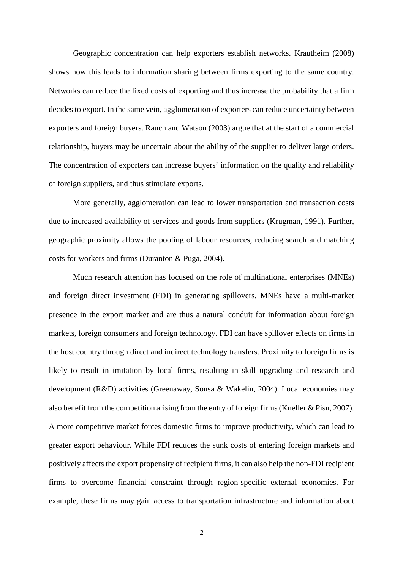Geographic concentration can help exporters establish networks. Krautheim (2008) shows how this leads to information sharing between firms exporting to the same country. Networks can reduce the fixed costs of exporting and thus increase the probability that a firm decides to export. In the same vein, agglomeration of exporters can reduce uncertainty between exporters and foreign buyers. Rauch and Watson (2003) argue that at the start of a commercial relationship, buyers may be uncertain about the ability of the supplier to deliver large orders. The concentration of exporters can increase buyers' information on the quality and reliability of foreign suppliers, and thus stimulate exports.

More generally, agglomeration can lead to lower transportation and transaction costs due to increased availability of services and goods from suppliers (Krugman, 1991). Further, geographic proximity allows the pooling of labour resources, reducing search and matching costs for workers and firms (Duranton & Puga, 2004).

Much research attention has focused on the role of multinational enterprises (MNEs) and foreign direct investment (FDI) in generating spillovers. MNEs have a multi-market presence in the export market and are thus a natural conduit for information about foreign markets, foreign consumers and foreign technology. FDI can have spillover effects on firms in the host country through direct and indirect technology transfers. Proximity to foreign firms is likely to result in imitation by local firms, resulting in skill upgrading and research and development (R&D) activities (Greenaway, Sousa & Wakelin, 2004). Local economies may also benefit from the competition arising from the entry of foreign firms (Kneller & Pisu, 2007). A more competitive market forces domestic firms to improve productivity, which can lead to greater export behaviour. While FDI reduces the sunk costs of entering foreign markets and positively affects the export propensity of recipient firms, it can also help the non-FDI recipient firms to overcome financial constraint through region-specific external economies. For example, these firms may gain access to transportation infrastructure and information about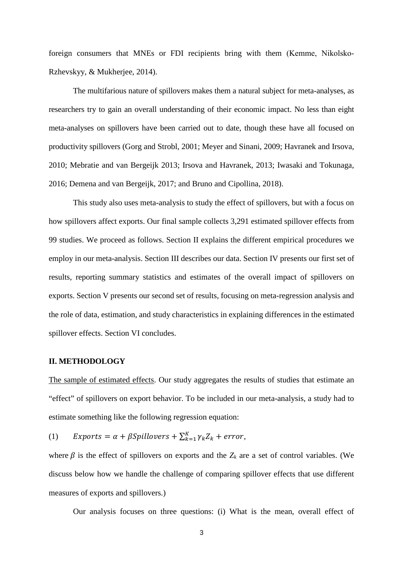foreign consumers that MNEs or FDI recipients bring with them (Kemme, Nikolsko-Rzhevskyy, & Mukherjee, 2014).

The multifarious nature of spillovers makes them a natural subject for meta-analyses, as researchers try to gain an overall understanding of their economic impact. No less than eight meta-analyses on spillovers have been carried out to date, though these have all focused on productivity spillovers (Gorg and Strobl, 2001; Meyer and Sinani, 2009; Havranek and Irsova, 2010; Mebratie and van Bergeijk 2013; Irsova and Havranek, 2013; Iwasaki and Tokunaga, 2016; Demena and van Bergeijk, 2017; and Bruno and Cipollina, 2018).

This study also uses meta-analysis to study the effect of spillovers, but with a focus on how spillovers affect exports. Our final sample collects 3,291 estimated spillover effects from 99 studies. We proceed as follows. Section II explains the different empirical procedures we employ in our meta-analysis. Section III describes our data. Section IV presents our first set of results, reporting summary statistics and estimates of the overall impact of spillovers on exports. Section V presents our second set of results, focusing on meta-regression analysis and the role of data, estimation, and study characteristics in explaining differences in the estimated spillover effects. Section VI concludes.

#### **II. METHODOLOGY**

The sample of estimated effects. Our study aggregates the results of studies that estimate an "effect" of spillovers on export behavior. To be included in our meta-analysis, a study had to estimate something like the following regression equation:

(1)  $Express = \alpha + \beta Spillovers + \sum_{k=1}^{K} \gamma_k Z_k + error,$ 

where  $\beta$  is the effect of spillovers on exports and the  $Z_k$  are a set of control variables. (We discuss below how we handle the challenge of comparing spillover effects that use different measures of exports and spillovers.)

Our analysis focuses on three questions: (i) What is the mean, overall effect of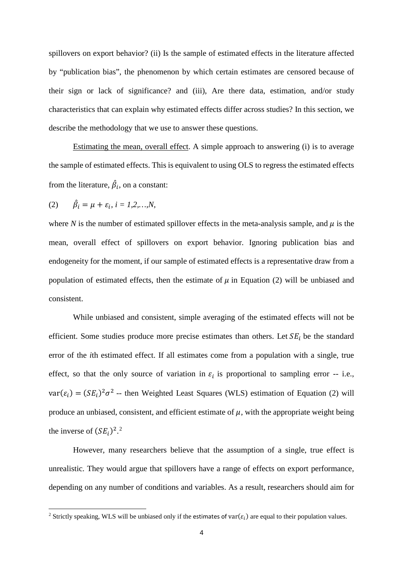spillovers on export behavior? (ii) Is the sample of estimated effects in the literature affected by "publication bias", the phenomenon by which certain estimates are censored because of their sign or lack of significance? and (iii), Are there data, estimation, and/or study characteristics that can explain why estimated effects differ across studies? In this section, we describe the methodology that we use to answer these questions.

Estimating the mean, overall effect. A simple approach to answering (i) is to average the sample of estimated effects. This is equivalent to using OLS to regress the estimated effects from the literature,  $\hat{\beta}_i$ , on a constant:

(2) 
$$
\hat{\beta}_i = \mu + \varepsilon_i, i = 1, 2, ..., N,
$$

-

where  $N$  is the number of estimated spillover effects in the meta-analysis sample, and  $\mu$  is the mean, overall effect of spillovers on export behavior. Ignoring publication bias and endogeneity for the moment, if our sample of estimated effects is a representative draw from a population of estimated effects, then the estimate of  $\mu$  in Equation (2) will be unbiased and consistent.

While unbiased and consistent, simple averaging of the estimated effects will not be efficient. Some studies produce more precise estimates than others. Let  $SE_i$  be the standard error of the *i*th estimated effect. If all estimates come from a population with a single, true effect, so that the only source of variation in  $\varepsilon_i$  is proportional to sampling error -- i.e.,  $var(\varepsilon_i) = (SE_i)^2 \sigma^2$  -- then Weighted Least Squares (WLS) estimation of Equation (2) will produce an unbiased, consistent, and efficient estimate of  $\mu$ , with the appropriate weight being the inverse of  $(SE_i)^2$  $(SE_i)^2$ .<sup>2</sup>

However, many researchers believe that the assumption of a single, true effect is unrealistic. They would argue that spillovers have a range of effects on export performance, depending on any number of conditions and variables. As a result, researchers should aim for

<span id="page-5-0"></span><sup>&</sup>lt;sup>2</sup> Strictly speaking, WLS will be unbiased only if the estimates of  $var(\varepsilon_i)$  are equal to their population values.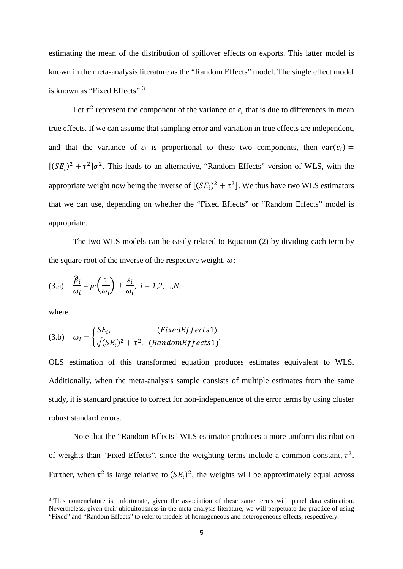estimating the mean of the distribution of spillover effects on exports. This latter model is known in the meta-analysis literature as the "Random Effects" model. The single effect model is known as "Fixed Effects".[3](#page-6-0)

Let  $\tau^2$  represent the component of the variance of  $\varepsilon_i$  that is due to differences in mean true effects. If we can assume that sampling error and variation in true effects are independent, and that the variance of  $\varepsilon_i$  is proportional to these two components, then  $var(\varepsilon_i)$  =  $[(SE_i)^2 + \tau^2]\sigma^2$ . This leads to an alternative, "Random Effects" version of WLS, with the appropriate weight now being the inverse of  $[(SE_i)^2 + \tau^2]$ . We thus have two WLS estimators that we can use, depending on whether the "Fixed Effects" or "Random Effects" model is appropriate.

The two WLS models can be easily related to Equation (2) by dividing each term by the square root of the inverse of the respective weight,  $\omega$ :

(3.a) 
$$
\frac{\hat{\beta}_i}{\omega_i} = \mu \cdot \left(\frac{1}{\omega_i}\right) + \frac{\varepsilon_i}{\omega_i}, \quad i = 1, 2, \dots, N.
$$

where

-

(3.b) 
$$
\omega_i = \begin{cases} SE_i, & (FixedEffects 1) \\ \sqrt{(SE_i)^2 + \tau^2}, & (RandomEffects 1) \end{cases}
$$

OLS estimation of this transformed equation produces estimates equivalent to WLS. Additionally, when the meta-analysis sample consists of multiple estimates from the same study, it is standard practice to correct for non-independence of the error terms by using cluster robust standard errors.

Note that the "Random Effects" WLS estimator produces a more uniform distribution of weights than "Fixed Effects", since the weighting terms include a common constant,  $\tau^2$ . Further, when  $\tau^2$  is large relative to  $(SE_i)^2$ , the weights will be approximately equal across

<span id="page-6-0"></span><sup>&</sup>lt;sup>3</sup> This nomenclature is unfortunate, given the association of these same terms with panel data estimation. Nevertheless, given their ubiquitousness in the meta-analysis literature, we will perpetuate the practice of using "Fixed" and "Random Effects" to refer to models of homogeneous and heterogeneous effects, respectively.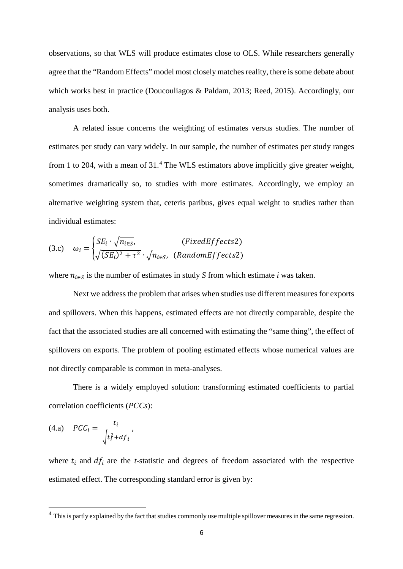observations, so that WLS will produce estimates close to OLS. While researchers generally agree that the "Random Effects" model most closely matches reality, there is some debate about which works best in practice (Doucouliagos & Paldam, 2013; Reed, 2015). Accordingly, our analysis uses both.

A related issue concerns the weighting of estimates versus studies. The number of estimates per study can vary widely. In our sample, the number of estimates per study ranges from 1 to 20[4](#page-7-0), with a mean of 31.<sup>4</sup> The WLS estimators above implicitly give greater weight, sometimes dramatically so, to studies with more estimates. Accordingly, we employ an alternative weighting system that, ceteris paribus, gives equal weight to studies rather than individual estimates:

$$
(3.c) \quad \omega_i = \begin{cases} SE_i \cdot \sqrt{n_{i\in S}}, & (FixedEffects 2) \\ \sqrt{(SE_i)^2 + \tau^2} \cdot \sqrt{n_{i\in S}}, & (RandomEffects 2) \end{cases}
$$

where  $n_{i \in S}$  is the number of estimates in study *S* from which estimate *i* was taken.

Next we address the problem that arises when studies use different measures for exports and spillovers. When this happens, estimated effects are not directly comparable, despite the fact that the associated studies are all concerned with estimating the "same thing", the effect of spillovers on exports. The problem of pooling estimated effects whose numerical values are not directly comparable is common in meta-analyses.

There is a widely employed solution: transforming estimated coefficients to partial correlation coefficients (*PCCs*):

$$
(4.a) \quad PCC_i = \frac{t_i}{\sqrt{t_i^2 + df_i}},
$$

-

where  $t_i$  and  $df_i$  are the *t*-statistic and degrees of freedom associated with the respective estimated effect. The corresponding standard error is given by:

<span id="page-7-0"></span> $<sup>4</sup>$  This is partly explained by the fact that studies commonly use multiple spillover measures in the same regression.</sup>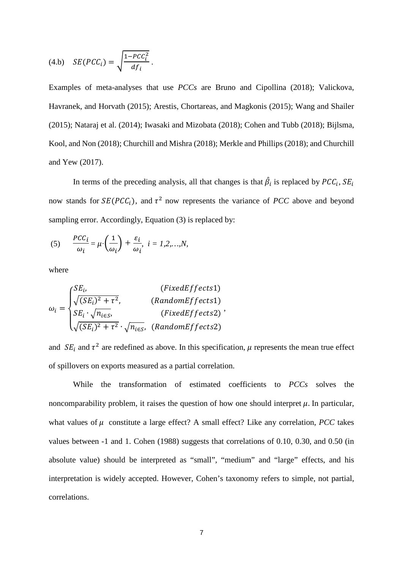$$
(4.b) \tSE(PCC_i) = \sqrt{\frac{1 - PCC_i^2}{df_i}}.
$$

Examples of meta-analyses that use *PCCs* are Bruno and Cipollina (2018); Valickova, Havranek, and Horvath (2015); Arestis, Chortareas, and Magkonis (2015); Wang and Shailer (2015); Nataraj et al. (2014); Iwasaki and Mizobata (2018); Cohen and Tubb (2018); Bijlsma, Kool, and Non (2018); Churchill and Mishra (2018); Merkle and Phillips (2018); and Churchill and Yew (2017).

In terms of the preceding analysis, all that changes is that  $\beta_i$  is replaced by  $PCC_i$ ,  $SE_i$ now stands for  $SE(PCC<sub>i</sub>)$ , and  $\tau^2$  now represents the variance of *PCC* above and beyond sampling error. Accordingly, Equation (3) is replaced by:

(5) 
$$
\frac{PCC_i}{\omega_i} = \mu \cdot \left(\frac{1}{\omega_i}\right) + \frac{\varepsilon_i}{\omega_i}, \quad i = 1, 2, ..., N,
$$

where

$$
\omega_i = \begin{cases}\nSE_i, & (FixedEffects1) \\
\sqrt{(SE_i)^2 + \tau^2}, & (RandomEffects1) \\
SE_i \cdot \sqrt{n_{i\in S}}, & (FixedEffects2) \\
\sqrt{(SE_i)^2 + \tau^2} \cdot \sqrt{n_{i\in S}}, & (RandomEffects2)\n\end{cases}
$$

and  $SE_i$  and  $\tau^2$  are redefined as above. In this specification,  $\mu$  represents the mean true effect of spillovers on exports measured as a partial correlation.

While the transformation of estimated coefficients to *PCCs* solves the noncomparability problem, it raises the question of how one should interpret  $\mu$ . In particular, what values of  $\mu$  constitute a large effect? A small effect? Like any correlation, *PCC* takes values between -1 and 1. Cohen (1988) suggests that correlations of 0.10, 0.30, and 0.50 (in absolute value) should be interpreted as "small", "medium" and "large" effects, and his interpretation is widely accepted. However, Cohen's taxonomy refers to simple, not partial, correlations.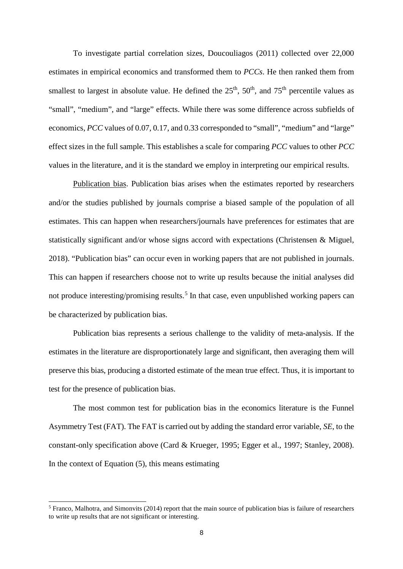To investigate partial correlation sizes, Doucouliagos (2011) collected over 22,000 estimates in empirical economics and transformed them to *PCCs*. He then ranked them from smallest to largest in absolute value. He defined the  $25<sup>th</sup>$ ,  $50<sup>th</sup>$ , and  $75<sup>th</sup>$  percentile values as "small", "medium", and "large" effects. While there was some difference across subfields of economics, *PCC* values of 0.07, 0.17, and 0.33 corresponded to "small", "medium" and "large" effect sizes in the full sample. This establishes a scale for comparing *PCC* values to other *PCC*  values in the literature, and it is the standard we employ in interpreting our empirical results.

Publication bias. Publication bias arises when the estimates reported by researchers and/or the studies published by journals comprise a biased sample of the population of all estimates. This can happen when researchers/journals have preferences for estimates that are statistically significant and/or whose signs accord with expectations (Christensen & Miguel, 2018). "Publication bias" can occur even in working papers that are not published in journals. This can happen if researchers choose not to write up results because the initial analyses did not produce interesting/promising results.<sup>[5](#page-9-0)</sup> In that case, even unpublished working papers can be characterized by publication bias.

Publication bias represents a serious challenge to the validity of meta-analysis. If the estimates in the literature are disproportionately large and significant, then averaging them will preserve this bias, producing a distorted estimate of the mean true effect. Thus, it is important to test for the presence of publication bias.

The most common test for publication bias in the economics literature is the Funnel Asymmetry Test (FAT). The FAT is carried out by adding the standard error variable, *SE*, to the constant-only specification above (Card & Krueger, 1995; Egger et al., 1997; Stanley, 2008). In the context of Equation  $(5)$ , this means estimating

-

<span id="page-9-0"></span> $5$  Franco, Malhotra, and Simonvits (2014) report that the main source of publication bias is failure of researchers to write up results that are not significant or interesting.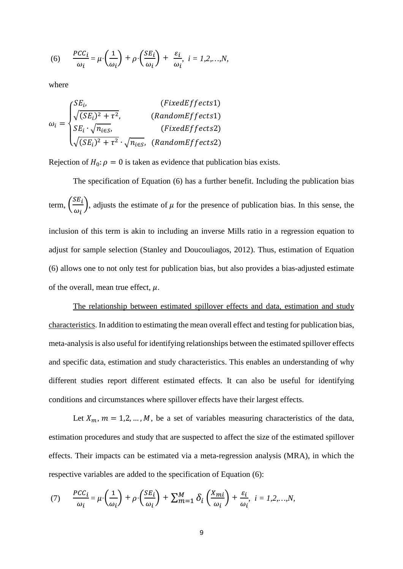(6) 
$$
\frac{PCC_i}{\omega_i} = \mu \cdot \left(\frac{1}{\omega_i}\right) + \rho \cdot \left(\frac{SE_i}{\omega_i}\right) + \frac{\varepsilon_i}{\omega_i}, \quad i = 1, 2, ..., N,
$$

where

$$
\omega_i = \begin{cases}\nSE_i, & (FixedEffects1) \\
\sqrt{(SE_i)^2 + \tau^2}, & (RandomEffects1) \\
SE_i \cdot \sqrt{n_{i\in S}}, & (FixedEffects2) \\
\sqrt{(SE_i)^2 + \tau^2} \cdot \sqrt{n_{i\in S}}, & (RandomEffects2)\n\end{cases}
$$

Rejection of  $H_0: \rho = 0$  is taken as evidence that publication bias exists.

The specification of Equation (6) has a further benefit. Including the publication bias term,  $\left(\frac{SE_i}{\omega_i}\right)$  $\frac{\partial u_i}{\partial t}$ , adjusts the estimate of  $\mu$  for the presence of publication bias. In this sense, the inclusion of this term is akin to including an inverse Mills ratio in a regression equation to adjust for sample selection (Stanley and Doucouliagos, 2012). Thus, estimation of Equation (6) allows one to not only test for publication bias, but also provides a bias-adjusted estimate of the overall, mean true effect,  $\mu$ .

The relationship between estimated spillover effects and data, estimation and study characteristics. In addition to estimating the mean overall effect and testing for publication bias, meta-analysis is also useful for identifying relationships between the estimated spillover effects and specific data, estimation and study characteristics. This enables an understanding of why different studies report different estimated effects. It can also be useful for identifying conditions and circumstances where spillover effects have their largest effects.

Let  $X_m$ ,  $m = 1, 2, ..., M$ , be a set of variables measuring characteristics of the data, estimation procedures and study that are suspected to affect the size of the estimated spillover effects. Their impacts can be estimated via a meta-regression analysis (MRA), in which the respective variables are added to the specification of Equation (6):

(7) 
$$
\frac{PCC_i}{\omega_i} = \mu \cdot \left(\frac{1}{\omega_i}\right) + \rho \cdot \left(\frac{SE_i}{\omega_i}\right) + \sum_{m=1}^{M} \delta_i \left(\frac{X_{mi}}{\omega_i}\right) + \frac{\varepsilon_i}{\omega_i}, \quad i = 1, 2, ..., N,
$$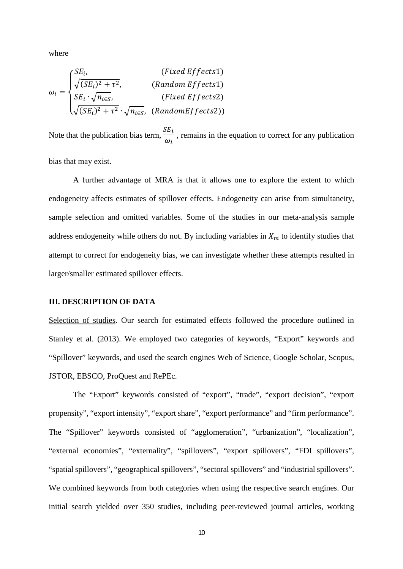where

$$
\omega_i = \begin{cases}\nSE_i, & (Fixed Effects 1) \\
\sqrt{(SE_i)^2 + \tau^2}, & (Random Effects 1) \\
SE_i \cdot \sqrt{n_{i\in S}}, & (Fixed Effects 2) \\
\sqrt{(SE_i)^2 + \tau^2} \cdot \sqrt{n_{i\in S}}, & (RandomEffects 2)\n\end{cases}
$$

Note that the publication bias term,  $\frac{SE_i}{S}$  $\omega_i$ , remains in the equation to correct for any publication

bias that may exist.

A further advantage of MRA is that it allows one to explore the extent to which endogeneity affects estimates of spillover effects. Endogeneity can arise from simultaneity, sample selection and omitted variables. Some of the studies in our meta-analysis sample address endogeneity while others do not. By including variables in  $X<sub>m</sub>$  to identify studies that attempt to correct for endogeneity bias, we can investigate whether these attempts resulted in larger/smaller estimated spillover effects.

#### **III. DESCRIPTION OF DATA**

Selection of studies. Our search for estimated effects followed the procedure outlined in Stanley et al. (2013). We employed two categories of keywords, "Export" keywords and "Spillover" keywords, and used the search engines Web of Science, Google Scholar, Scopus, JSTOR, EBSCO, ProQuest and RePEc.

The "Export" keywords consisted of "export", "trade", "export decision", "export propensity", "export intensity", "export share", "export performance" and "firm performance". The "Spillover" keywords consisted of "agglomeration", "urbanization", "localization", "external economies", "externality", "spillovers", "export spillovers", "FDI spillovers", "spatial spillovers", "geographical spillovers", "sectoral spillovers" and "industrial spillovers". We combined keywords from both categories when using the respective search engines. Our initial search yielded over 350 studies, including peer-reviewed journal articles, working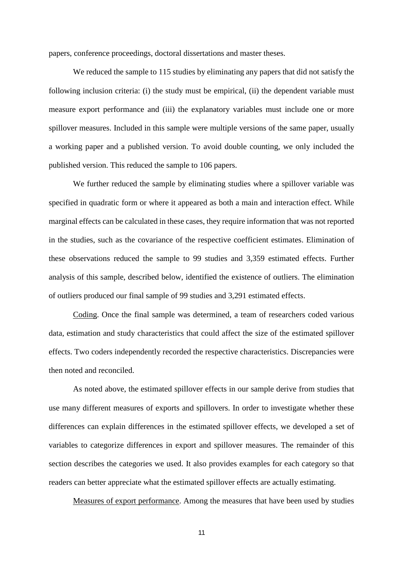papers, conference proceedings, doctoral dissertations and master theses.

We reduced the sample to 115 studies by eliminating any papers that did not satisfy the following inclusion criteria: (i) the study must be empirical, (ii) the dependent variable must measure export performance and (iii) the explanatory variables must include one or more spillover measures. Included in this sample were multiple versions of the same paper, usually a working paper and a published version. To avoid double counting, we only included the published version. This reduced the sample to 106 papers.

We further reduced the sample by eliminating studies where a spillover variable was specified in quadratic form or where it appeared as both a main and interaction effect. While marginal effects can be calculated in these cases, they require information that was not reported in the studies, such as the covariance of the respective coefficient estimates. Elimination of these observations reduced the sample to 99 studies and 3,359 estimated effects. Further analysis of this sample, described below, identified the existence of outliers. The elimination of outliers produced our final sample of 99 studies and 3,291 estimated effects.

Coding. Once the final sample was determined, a team of researchers coded various data, estimation and study characteristics that could affect the size of the estimated spillover effects. Two coders independently recorded the respective characteristics. Discrepancies were then noted and reconciled.

As noted above, the estimated spillover effects in our sample derive from studies that use many different measures of exports and spillovers. In order to investigate whether these differences can explain differences in the estimated spillover effects, we developed a set of variables to categorize differences in export and spillover measures. The remainder of this section describes the categories we used. It also provides examples for each category so that readers can better appreciate what the estimated spillover effects are actually estimating.

Measures of export performance. Among the measures that have been used by studies

11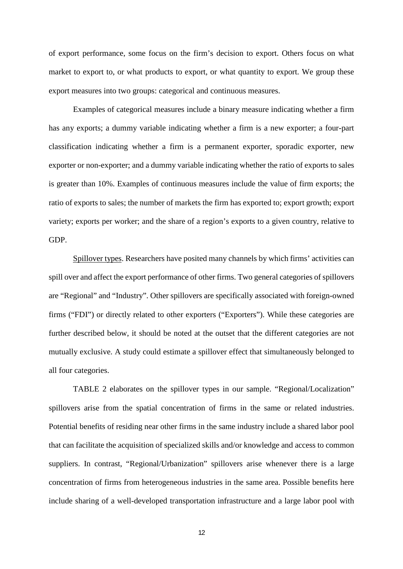of export performance, some focus on the firm's decision to export. Others focus on what market to export to, or what products to export, or what quantity to export. We group these export measures into two groups: categorical and continuous measures.

Examples of categorical measures include a binary measure indicating whether a firm has any exports; a dummy variable indicating whether a firm is a new exporter; a four-part classification indicating whether a firm is a permanent exporter, sporadic exporter, new exporter or non-exporter; and a dummy variable indicating whether the ratio of exports to sales is greater than 10%. Examples of continuous measures include the value of firm exports; the ratio of exports to sales; the number of markets the firm has exported to; export growth; export variety; exports per worker; and the share of a region's exports to a given country, relative to GDP.

Spillover types. Researchers have posited many channels by which firms' activities can spill over and affect the export performance of other firms. Two general categories of spillovers are "Regional" and "Industry". Other spillovers are specifically associated with foreign-owned firms ("FDI") or directly related to other exporters ("Exporters"). While these categories are further described below, it should be noted at the outset that the different categories are not mutually exclusive. A study could estimate a spillover effect that simultaneously belonged to all four categories.

TABLE 2 elaborates on the spillover types in our sample. "Regional/Localization" spillovers arise from the spatial concentration of firms in the same or related industries. Potential benefits of residing near other firms in the same industry include a shared labor pool that can facilitate the acquisition of specialized skills and/or knowledge and access to common suppliers. In contrast, "Regional/Urbanization" spillovers arise whenever there is a large concentration of firms from heterogeneous industries in the same area. Possible benefits here include sharing of a well-developed transportation infrastructure and a large labor pool with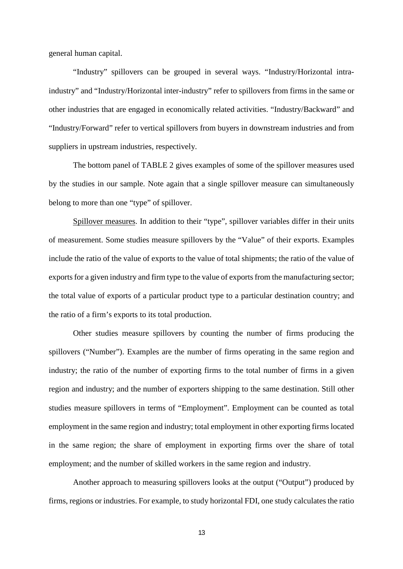general human capital.

"Industry" spillovers can be grouped in several ways. "Industry/Horizontal intraindustry" and "Industry/Horizontal inter-industry" refer to spillovers from firms in the same or other industries that are engaged in economically related activities. "Industry/Backward" and "Industry/Forward" refer to vertical spillovers from buyers in downstream industries and from suppliers in upstream industries, respectively.

The bottom panel of TABLE 2 gives examples of some of the spillover measures used by the studies in our sample. Note again that a single spillover measure can simultaneously belong to more than one "type" of spillover.

Spillover measures. In addition to their "type", spillover variables differ in their units of measurement. Some studies measure spillovers by the "Value" of their exports. Examples include the ratio of the value of exports to the value of total shipments; the ratio of the value of exports for a given industry and firm type to the value of exports from the manufacturing sector; the total value of exports of a particular product type to a particular destination country; and the ratio of a firm's exports to its total production.

Other studies measure spillovers by counting the number of firms producing the spillovers ("Number"). Examples are the number of firms operating in the same region and industry; the ratio of the number of exporting firms to the total number of firms in a given region and industry; and the number of exporters shipping to the same destination. Still other studies measure spillovers in terms of "Employment". Employment can be counted as total employment in the same region and industry; total employment in other exporting firms located in the same region; the share of employment in exporting firms over the share of total employment; and the number of skilled workers in the same region and industry.

Another approach to measuring spillovers looks at the output ("Output") produced by firms, regions or industries. For example, to study horizontal FDI, one study calculates the ratio

13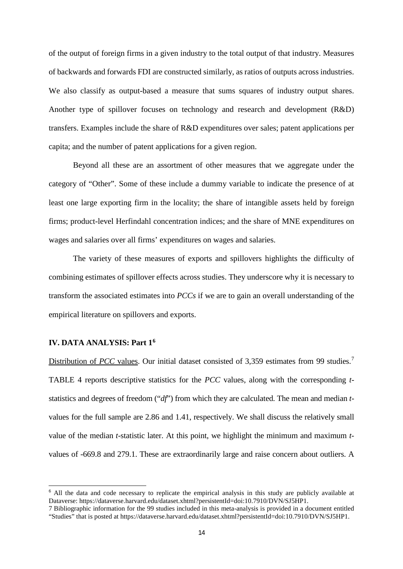of the output of foreign firms in a given industry to the total output of that industry. Measures of backwards and forwards FDI are constructed similarly, as ratios of outputs across industries. We also classify as output-based a measure that sums squares of industry output shares. Another type of spillover focuses on technology and research and development (R&D) transfers. Examples include the share of R&D expenditures over sales; patent applications per capita; and the number of patent applications for a given region.

Beyond all these are an assortment of other measures that we aggregate under the category of "Other". Some of these include a dummy variable to indicate the presence of at least one large exporting firm in the locality; the share of intangible assets held by foreign firms; product-level Herfindahl concentration indices; and the share of MNE expenditures on wages and salaries over all firms' expenditures on wages and salaries.

The variety of these measures of exports and spillovers highlights the difficulty of combining estimates of spillover effects across studies. They underscore why it is necessary to transform the associated estimates into *PCCs* if we are to gain an overall understanding of the empirical literature on spillovers and exports.

#### **IV. DATA ANALYSIS: Part 1[6](#page-15-0)**

-

Distribution of *PCC* values. Our initial dataset consisted of 3,359 estimates from 99 studies.<sup>[7](#page-15-1)</sup> TABLE 4 reports descriptive statistics for the *PCC* values, along with the corresponding *t*statistics and degrees of freedom ("*df*") from which they are calculated. The mean and median *t*values for the full sample are 2.86 and 1.41, respectively. We shall discuss the relatively small value of the median *t-*statistic later. At this point, we highlight the minimum and maximum *t*values of -669.8 and 279.1. These are extraordinarily large and raise concern about outliers. A

<span id="page-15-0"></span><sup>&</sup>lt;sup>6</sup> All the data and code necessary to replicate the empirical analysis in this study are publicly available at Dataverse: https://dataverse.harvard.edu/dataset.xhtml?persistentId=doi:10.7910/DVN/SJ5HP1.

<span id="page-15-1"></span><sup>7</sup> Bibliographic information for the 99 studies included in this meta-analysis is provided in a document entitled "Studies" that is posted at https://dataverse.harvard.edu/dataset.xhtml?persistentId=doi:10.7910/DVN/SJ5HP1.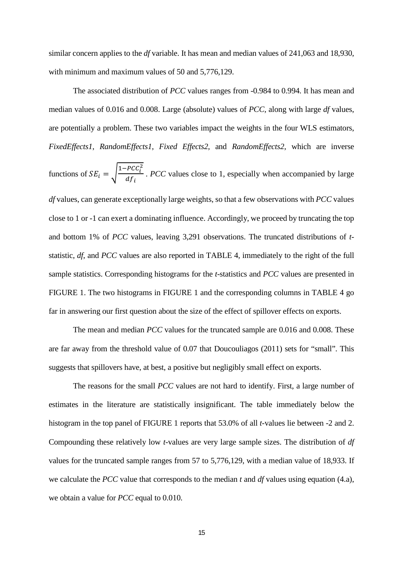similar concern applies to the *df* variable. It has mean and median values of 241,063 and 18,930, with minimum and maximum values of 50 and 5,776,129.

The associated distribution of *PCC* values ranges from -0.984 to 0.994. It has mean and median values of 0.016 and 0.008. Large (absolute) values of *PCC,* along with large *df* values, are potentially a problem. These two variables impact the weights in the four WLS estimators, *FixedEffects1*, *RandomEffects1*, *Fixed Effects2*, and *RandomEffects2*, which are inverse functions of  $SE_i = \sqrt{\frac{1 - PCC_i^2}{df_i}}$  $a_{f}$ <sub>i</sub> . *PCC* values close to 1, especially when accompanied by large *df* values, can generate exceptionally large weights, so that a few observations with *PCC* values close to 1 or -1 can exert a dominating influence. Accordingly, we proceed by truncating the top and bottom 1% of *PCC* values, leaving 3,291 observations. The truncated distributions of *t*statistic, *df*, and *PCC* values are also reported in TABLE 4, immediately to the right of the full sample statistics. Corresponding histograms for the *t-*statistics and *PCC* values are presented in FIGURE 1. The two histograms in FIGURE 1 and the corresponding columns in TABLE 4 go far in answering our first question about the size of the effect of spillover effects on exports.

The mean and median *PCC* values for the truncated sample are 0.016 and 0.008. These are far away from the threshold value of 0.07 that Doucouliagos (2011) sets for "small". This suggests that spillovers have, at best, a positive but negligibly small effect on exports.

The reasons for the small *PCC* values are not hard to identify. First, a large number of estimates in the literature are statistically insignificant. The table immediately below the histogram in the top panel of FIGURE 1 reports that 53.0% of all *t-*values lie between -2 and 2. Compounding these relatively low *t*-values are very large sample sizes. The distribution of *df* values for the truncated sample ranges from 57 to 5,776,129, with a median value of 18,933. If we calculate the *PCC* value that corresponds to the median *t* and *df* values using equation (4.a), we obtain a value for *PCC* equal to 0.010.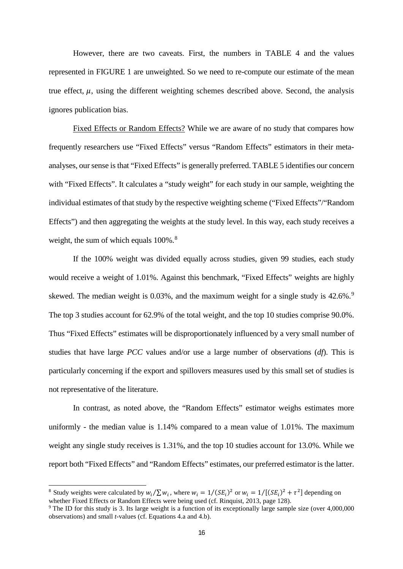However, there are two caveats. First, the numbers in TABLE 4 and the values represented in FIGURE 1 are unweighted. So we need to re-compute our estimate of the mean true effect,  $\mu$ , using the different weighting schemes described above. Second, the analysis ignores publication bias.

Fixed Effects or Random Effects? While we are aware of no study that compares how frequently researchers use "Fixed Effects" versus "Random Effects" estimators in their metaanalyses, our sense is that "Fixed Effects" is generally preferred. TABLE 5 identifies our concern with "Fixed Effects". It calculates a "study weight" for each study in our sample, weighting the individual estimates of that study by the respective weighting scheme ("Fixed Effects"/"Random Effects") and then aggregating the weights at the study level. In this way, each study receives a weight, the sum of which equals  $100\%$ .<sup>[8](#page-17-0)</sup>

If the 100% weight was divided equally across studies, given 99 studies, each study would receive a weight of 1.01%. Against this benchmark, "Fixed Effects" weights are highly skewed. The median weight is 0.03%, and the maximum weight for a single study is 42.6%.<sup>[9](#page-17-1)</sup> The top 3 studies account for 62.9% of the total weight, and the top 10 studies comprise 90.0%. Thus "Fixed Effects" estimates will be disproportionately influenced by a very small number of studies that have large *PCC* values and/or use a large number of observations (*df*). This is particularly concerning if the export and spillovers measures used by this small set of studies is not representative of the literature.

In contrast, as noted above, the "Random Effects" estimator weighs estimates more uniformly - the median value is 1.14% compared to a mean value of 1.01%. The maximum weight any single study receives is 1.31%, and the top 10 studies account for 13.0%. While we report both "Fixed Effects" and "Random Effects" estimates, our preferred estimator is the latter.

-

<span id="page-17-0"></span><sup>&</sup>lt;sup>8</sup> Study weights were calculated by  $w_i / \sum w_i$ , where  $w_i = 1 / (SE_i)^2$  or  $w_i = 1 / [(SE_i)^2 + \tau^2]$  depending on whether Fixed Effects or Random Effects were being used (cf. Rinquist, 2013, page 128).

<span id="page-17-1"></span><sup>9</sup> The ID for this study is 3. Its large weight is a function of its exceptionally large sample size (over 4,000,000 observations) and small *t-*values (cf. Equations 4.a and 4.b).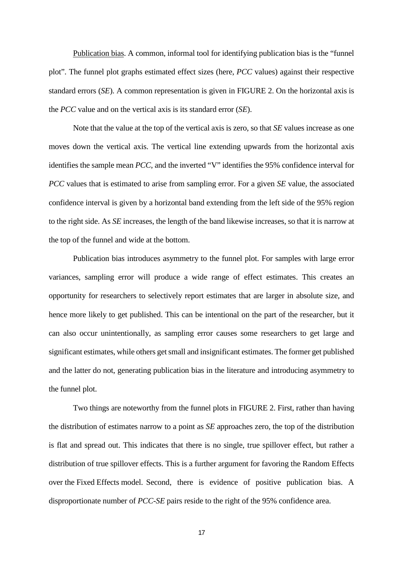Publication bias. A common, informal tool for identifying publication bias is the "funnel plot". The funnel plot graphs estimated effect sizes (here, *PCC* values) against their respective standard errors (*SE*). A common representation is given in FIGURE 2. On the horizontal axis is the *PCC* value and on the vertical axis is its standard error (*SE*).

Note that the value at the top of the vertical axis is zero, so that *SE* values increase as one moves down the vertical axis. The vertical line extending upwards from the horizontal axis identifies the sample mean *PCC*, and the inverted "V" identifies the 95% confidence interval for *PCC* values that is estimated to arise from sampling error. For a given *SE* value, the associated confidence interval is given by a horizontal band extending from the left side of the 95% region to the right side. As *SE* increases, the length of the band likewise increases, so that it is narrow at the top of the funnel and wide at the bottom.

Publication bias introduces asymmetry to the funnel plot. For samples with large error variances, sampling error will produce a wide range of effect estimates. This creates an opportunity for researchers to selectively report estimates that are larger in absolute size, and hence more likely to get published. This can be intentional on the part of the researcher, but it can also occur unintentionally, as sampling error causes some researchers to get large and significant estimates, while others get small and insignificant estimates. The former get published and the latter do not, generating publication bias in the literature and introducing asymmetry to the funnel plot.

Two things are noteworthy from the funnel plots in FIGURE 2. First, rather than having the distribution of estimates narrow to a point as *SE* approaches zero, the top of the distribution is flat and spread out. This indicates that there is no single, true spillover effect, but rather a distribution of true spillover effects. This is a further argument for favoring the Random Effects over the Fixed Effects model. Second, there is evidence of positive publication bias. A disproportionate number of *PCC-SE* pairs reside to the right of the 95% confidence area.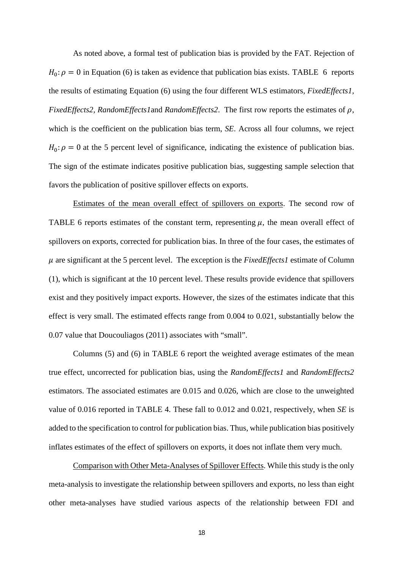As noted above, a formal test of publication bias is provided by the FAT. Rejection of  $H_0: \rho = 0$  in Equation (6) is taken as evidence that publication bias exists. TABLE 6 reports the results of estimating Equation (6) using the four different WLS estimators, *FixedEffects1, FixedEffects2, RandomEffects1* and *RandomEffects2*. The first row reports the estimates of  $\rho$ , which is the coefficient on the publication bias term, *SE*. Across all four columns, we reject  $H_0: \rho = 0$  at the 5 percent level of significance, indicating the existence of publication bias. The sign of the estimate indicates positive publication bias, suggesting sample selection that favors the publication of positive spillover effects on exports.

Estimates of the mean overall effect of spillovers on exports. The second row of TABLE 6 reports estimates of the constant term, representing  $\mu$ , the mean overall effect of spillovers on exports, corrected for publication bias. In three of the four cases, the estimates of  $\mu$  are significant at the 5 percent level. The exception is the *Fixed Effects1* estimate of Column (1), which is significant at the 10 percent level. These results provide evidence that spillovers exist and they positively impact exports. However, the sizes of the estimates indicate that this effect is very small. The estimated effects range from 0.004 to 0.021, substantially below the 0.07 value that Doucouliagos (2011) associates with "small".

Columns (5) and (6) in TABLE 6 report the weighted average estimates of the mean true effect, uncorrected for publication bias, using the *RandomEffects1* and *RandomEffects2*  estimators. The associated estimates are 0.015 and 0.026, which are close to the unweighted value of 0.016 reported in TABLE 4. These fall to 0.012 and 0.021, respectively, when *SE* is added to the specification to control for publication bias. Thus, while publication bias positively inflates estimates of the effect of spillovers on exports, it does not inflate them very much.

Comparison with Other Meta-Analyses of Spillover Effects. While this study is the only meta-analysis to investigate the relationship between spillovers and exports, no less than eight other meta-analyses have studied various aspects of the relationship between FDI and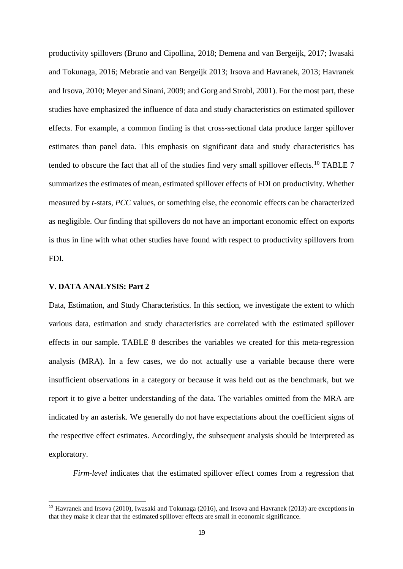productivity spillovers (Bruno and Cipollina, 2018; Demena and van Bergeijk, 2017; Iwasaki and Tokunaga, 2016; Mebratie and van Bergeijk 2013; Irsova and Havranek, 2013; Havranek and Irsova, 2010; Meyer and Sinani, 2009; and Gorg and Strobl, 2001). For the most part, these studies have emphasized the influence of data and study characteristics on estimated spillover effects. For example, a common finding is that cross-sectional data produce larger spillover estimates than panel data. This emphasis on significant data and study characteristics has tended to obscure the fact that all of the studies find very small spillover effects.<sup>[10](#page-20-0)</sup> TABLE 7 summarizes the estimates of mean, estimated spillover effects of FDI on productivity. Whether measured by *t-*stats, *PCC* values, or something else, the economic effects can be characterized as negligible. Our finding that spillovers do not have an important economic effect on exports is thus in line with what other studies have found with respect to productivity spillovers from FDI.

#### **V. DATA ANALYSIS: Part 2**

-

Data, Estimation, and Study Characteristics. In this section, we investigate the extent to which various data, estimation and study characteristics are correlated with the estimated spillover effects in our sample. TABLE 8 describes the variables we created for this meta-regression analysis (MRA). In a few cases, we do not actually use a variable because there were insufficient observations in a category or because it was held out as the benchmark, but we report it to give a better understanding of the data. The variables omitted from the MRA are indicated by an asterisk. We generally do not have expectations about the coefficient signs of the respective effect estimates. Accordingly, the subsequent analysis should be interpreted as exploratory.

*Firm-level* indicates that the estimated spillover effect comes from a regression that

<span id="page-20-0"></span><sup>&</sup>lt;sup>10</sup> Havranek and Irsova (2010), Iwasaki and Tokunaga (2016), and Irsova and Havranek (2013) are exceptions in that they make it clear that the estimated spillover effects are small in economic significance.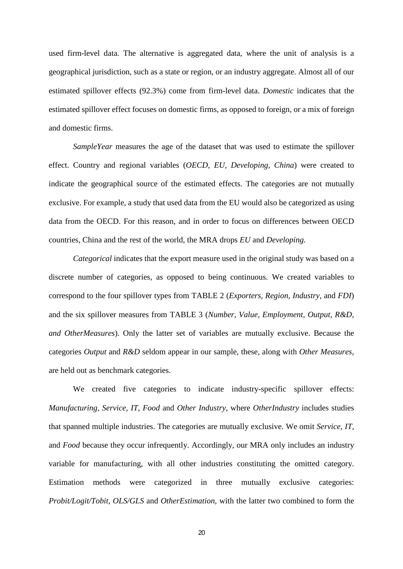used firm-level data. The alternative is aggregated data, where the unit of analysis is a geographical jurisdiction, such as a state or region, or an industry aggregate. Almost all of our estimated spillover effects (92.3%) come from firm-level data. *Domestic* indicates that the estimated spillover effect focuses on domestic firms, as opposed to foreign, or a mix of foreign and domestic firms.

*SampleYear* measures the age of the dataset that was used to estimate the spillover effect. Country and regional variables (*OECD, EU, Developing, China*) were created to indicate the geographical source of the estimated effects. The categories are not mutually exclusive. For example, a study that used data from the EU would also be categorized as using data from the OECD. For this reason, and in order to focus on differences between OECD countries, China and the rest of the world, the MRA drops *EU* and *Developing.* 

*Categorical* indicates that the export measure used in the original study was based on a discrete number of categories, as opposed to being continuous. We created variables to correspond to the four spillover types from TABLE 2 (*Exporters, Region, Industry,* and *FDI*) and the six spillover measures from TABLE 3 (*Number, Value, Employment, Output, R&D, and OtherMeasures*). Only the latter set of variables are mutually exclusive. Because the categories *Output* and *R&D* seldom appear in our sample, these, along with *Other Measures*, are held out as benchmark categories.

We created five categories to indicate industry-specific spillover effects: *Manufacturing, Service, IT, Food* and *Other Industry*, where *OtherIndustry* includes studies that spanned multiple industries. The categories are mutually exclusive. We omit *Service, IT,*  and *Food* because they occur infrequently. Accordingly, our MRA only includes an industry variable for manufacturing, with all other industries constituting the omitted category. Estimation methods were categorized in three mutually exclusive categories: *Probit/Logit/Tobit*, *OLS/GLS* and *OtherEstimation,* with the latter two combined to form the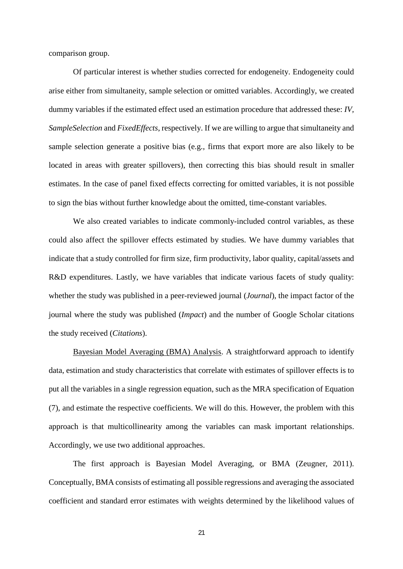comparison group.

Of particular interest is whether studies corrected for endogeneity. Endogeneity could arise either from simultaneity, sample selection or omitted variables. Accordingly, we created dummy variables if the estimated effect used an estimation procedure that addressed these: *IV, SampleSelection* and *FixedEffects*, respectively. If we are willing to argue that simultaneity and sample selection generate a positive bias (e.g., firms that export more are also likely to be located in areas with greater spillovers), then correcting this bias should result in smaller estimates. In the case of panel fixed effects correcting for omitted variables, it is not possible to sign the bias without further knowledge about the omitted, time-constant variables.

We also created variables to indicate commonly-included control variables, as these could also affect the spillover effects estimated by studies. We have dummy variables that indicate that a study controlled for firm size, firm productivity, labor quality, capital/assets and R&D expenditures. Lastly, we have variables that indicate various facets of study quality: whether the study was published in a peer-reviewed journal (*Journal*), the impact factor of the journal where the study was published (*Impact*) and the number of Google Scholar citations the study received (*Citations*).

Bayesian Model Averaging (BMA) Analysis. A straightforward approach to identify data, estimation and study characteristics that correlate with estimates of spillover effects is to put all the variables in a single regression equation, such as the MRA specification of Equation (7), and estimate the respective coefficients. We will do this. However, the problem with this approach is that multicollinearity among the variables can mask important relationships. Accordingly, we use two additional approaches.

The first approach is Bayesian Model Averaging, or BMA (Zeugner, 2011). Conceptually, BMA consists of estimating all possible regressions and averaging the associated coefficient and standard error estimates with weights determined by the likelihood values of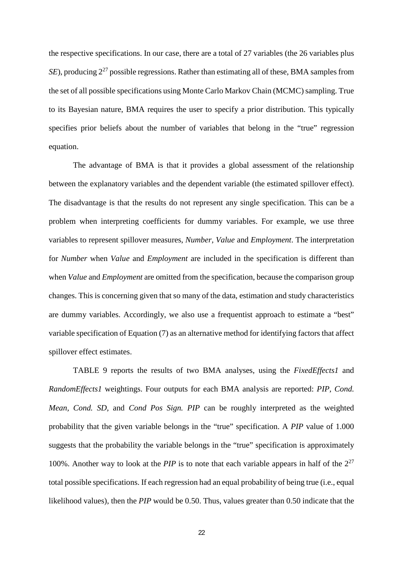the respective specifications. In our case, there are a total of 27 variables (the 26 variables plus *SE*), producing  $2^{27}$  possible regressions. Rather than estimating all of these, BMA samples from the set of all possible specifications using Monte Carlo Markov Chain (MCMC) sampling. True to its Bayesian nature, BMA requires the user to specify a prior distribution. This typically specifies prior beliefs about the number of variables that belong in the "true" regression equation.

The advantage of BMA is that it provides a global assessment of the relationship between the explanatory variables and the dependent variable (the estimated spillover effect). The disadvantage is that the results do not represent any single specification. This can be a problem when interpreting coefficients for dummy variables. For example, we use three variables to represent spillover measures, *Number, Value* and *Employment*. The interpretation for *Number* when *Value* and *Employment* are included in the specification is different than when *Value* and *Employment* are omitted from the specification, because the comparison group changes. This is concerning given that so many of the data, estimation and study characteristics are dummy variables. Accordingly, we also use a frequentist approach to estimate a "best" variable specification of Equation (7) as an alternative method for identifying factors that affect spillover effect estimates.

TABLE 9 reports the results of two BMA analyses, using the *FixedEffects1* and *RandomEffects1* weightings. Four outputs for each BMA analysis are reported: *PIP, Cond. Mean, Cond. SD,* and *Cond Pos Sign. PIP* can be roughly interpreted as the weighted probability that the given variable belongs in the "true" specification. A *PIP* value of 1.000 suggests that the probability the variable belongs in the "true" specification is approximately 100%. Another way to look at the *PIP* is to note that each variable appears in half of the  $2^{27}$ total possible specifications. If each regression had an equal probability of being true (i.e., equal likelihood values), then the *PIP* would be 0.50. Thus, values greater than 0.50 indicate that the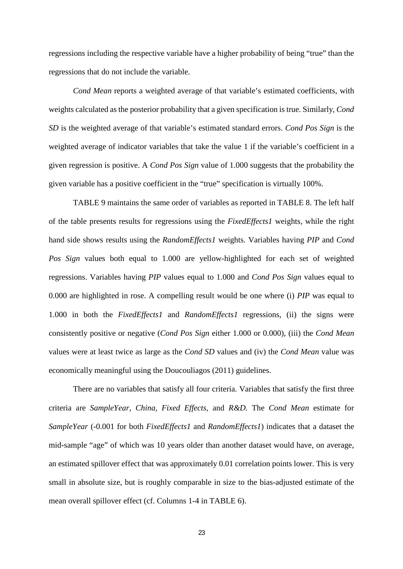regressions including the respective variable have a higher probability of being "true" than the regressions that do not include the variable.

*Cond Mean* reports a weighted average of that variable's estimated coefficients, with weights calculated as the posterior probability that a given specification is true. Similarly, *Cond SD* is the weighted average of that variable's estimated standard errors. *Cond Pos Sign* is the weighted average of indicator variables that take the value 1 if the variable's coefficient in a given regression is positive. A *Cond Pos Sign* value of 1.000 suggests that the probability the given variable has a positive coefficient in the "true" specification is virtually 100%.

TABLE 9 maintains the same order of variables as reported in TABLE 8. The left half of the table presents results for regressions using the *FixedEffects1* weights, while the right hand side shows results using the *RandomEffects1* weights. Variables having *PIP* and *Cond Pos Sign* values both equal to 1.000 are yellow-highlighted for each set of weighted regressions. Variables having *PIP* values equal to 1.000 and *Cond Pos Sign* values equal to 0.000 are highlighted in rose. A compelling result would be one where (i) *PIP* was equal to 1.000 in both the *FixedEffects1* and *RandomEffects1* regressions, (ii) the signs were consistently positive or negative (*Cond Pos Sign* either 1.000 or 0.000), (iii) the *Cond Mean*  values were at least twice as large as the *Cond SD* values and (iv) the *Cond Mean* value was economically meaningful using the Doucouliagos (2011) guidelines.

There are no variables that satisfy all four criteria. Variables that satisfy the first three criteria are *SampleYear, China, Fixed Effects,* and *R&D.* The *Cond Mean* estimate for *SampleYear* (-0.001 for both *FixedEffects1* and *RandomEffects1*) indicates that a dataset the mid-sample "age" of which was 10 years older than another dataset would have, on average, an estimated spillover effect that was approximately 0.01 correlation points lower. This is very small in absolute size, but is roughly comparable in size to the bias-adjusted estimate of the mean overall spillover effect (cf. Columns 1-4 in TABLE 6).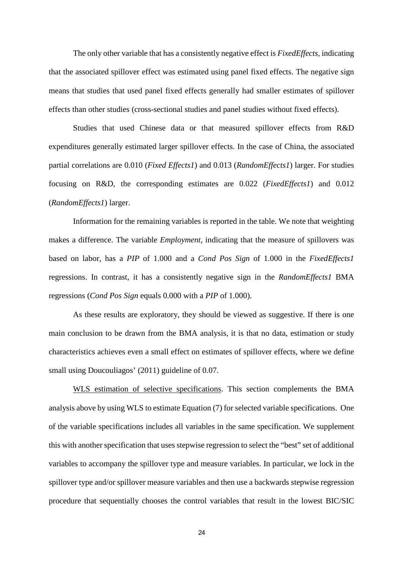The only other variable that has a consistently negative effect is *FixedEffects,* indicating that the associated spillover effect was estimated using panel fixed effects. The negative sign means that studies that used panel fixed effects generally had smaller estimates of spillover effects than other studies (cross-sectional studies and panel studies without fixed effects).

Studies that used Chinese data or that measured spillover effects from R&D expenditures generally estimated larger spillover effects. In the case of China, the associated partial correlations are 0.010 (*Fixed Effects1*) and 0.013 (*RandomEffects1*) larger. For studies focusing on R&D, the corresponding estimates are 0.022 (*FixedEffects1*) and 0.012 (*RandomEffects1*) larger.

Information for the remaining variables is reported in the table. We note that weighting makes a difference. The variable *Employment*, indicating that the measure of spillovers was based on labor, has a *PIP* of 1.000 and a *Cond Pos Sign* of 1.000 in the *FixedEffects1*  regressions. In contrast, it has a consistently negative sign in the *RandomEffects1* BMA regressions (*Cond Pos Sign* equals 0.000 with a *PIP* of 1.000).

As these results are exploratory, they should be viewed as suggestive. If there is one main conclusion to be drawn from the BMA analysis, it is that no data, estimation or study characteristics achieves even a small effect on estimates of spillover effects, where we define small using Doucouliagos' (2011) guideline of 0.07.

WLS estimation of selective specifications. This section complements the BMA analysis above by using WLS to estimate Equation (7) for selected variable specifications. One of the variable specifications includes all variables in the same specification. We supplement this with another specification that uses stepwise regression to select the "best" set of additional variables to accompany the spillover type and measure variables. In particular, we lock in the spillover type and/or spillover measure variables and then use a backwards stepwise regression procedure that sequentially chooses the control variables that result in the lowest BIC/SIC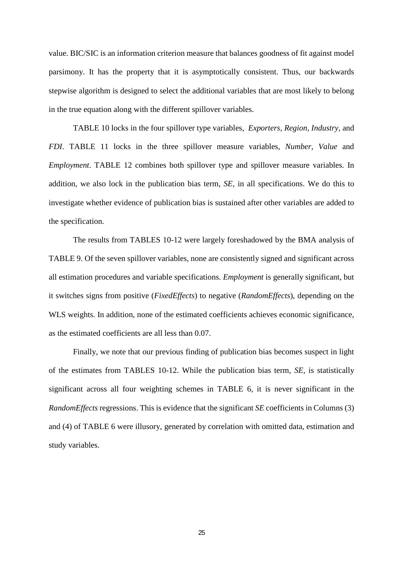value. BIC/SIC is an information criterion measure that balances goodness of fit against model parsimony. It has the property that it is asymptotically consistent. Thus, our backwards stepwise algorithm is designed to select the additional variables that are most likely to belong in the true equation along with the different spillover variables.

TABLE 10 locks in the four spillover type variables, *Exporters, Region, Industry,* and *FDI*. TABLE 11 locks in the three spillover measure variables, *Number, Value* and *Employment*. TABLE 12 combines both spillover type and spillover measure variables. In addition, we also lock in the publication bias term, *SE*, in all specifications. We do this to investigate whether evidence of publication bias is sustained after other variables are added to the specification.

The results from TABLES 10-12 were largely foreshadowed by the BMA analysis of TABLE 9. Of the seven spillover variables, none are consistently signed and significant across all estimation procedures and variable specifications. *Employment* is generally significant, but it switches signs from positive (*FixedEffects*) to negative (*RandomEffects*), depending on the WLS weights. In addition, none of the estimated coefficients achieves economic significance, as the estimated coefficients are all less than 0.07.

Finally, we note that our previous finding of publication bias becomes suspect in light of the estimates from TABLES 10-12. While the publication bias term, *SE*, is statistically significant across all four weighting schemes in TABLE 6, it is never significant in the *RandomEffects* regressions. This is evidence that the significant *SE* coefficients in Columns (3) and (4) of TABLE 6 were illusory, generated by correlation with omitted data, estimation and study variables.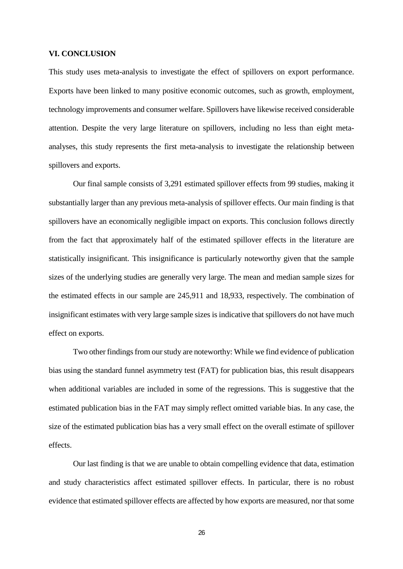#### **VI. CONCLUSION**

This study uses meta-analysis to investigate the effect of spillovers on export performance. Exports have been linked to many positive economic outcomes, such as growth, employment, technology improvements and consumer welfare. Spillovers have likewise received considerable attention. Despite the very large literature on spillovers, including no less than eight metaanalyses, this study represents the first meta-analysis to investigate the relationship between spillovers and exports.

Our final sample consists of 3,291 estimated spillover effects from 99 studies, making it substantially larger than any previous meta-analysis of spillover effects. Our main finding is that spillovers have an economically negligible impact on exports. This conclusion follows directly from the fact that approximately half of the estimated spillover effects in the literature are statistically insignificant. This insignificance is particularly noteworthy given that the sample sizes of the underlying studies are generally very large. The mean and median sample sizes for the estimated effects in our sample are 245,911 and 18,933, respectively. The combination of insignificant estimates with very large sample sizes is indicative that spillovers do not have much effect on exports.

Two other findings from our study are noteworthy: While we find evidence of publication bias using the standard funnel asymmetry test (FAT) for publication bias, this result disappears when additional variables are included in some of the regressions. This is suggestive that the estimated publication bias in the FAT may simply reflect omitted variable bias. In any case, the size of the estimated publication bias has a very small effect on the overall estimate of spillover effects.

Our last finding is that we are unable to obtain compelling evidence that data, estimation and study characteristics affect estimated spillover effects. In particular, there is no robust evidence that estimated spillover effects are affected by how exports are measured, nor that some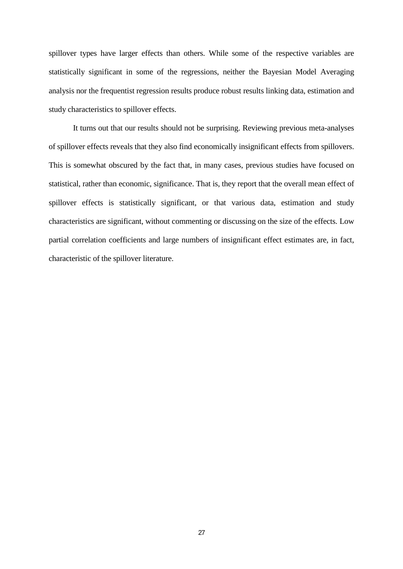spillover types have larger effects than others. While some of the respective variables are statistically significant in some of the regressions, neither the Bayesian Model Averaging analysis nor the frequentist regression results produce robust results linking data, estimation and study characteristics to spillover effects.

It turns out that our results should not be surprising. Reviewing previous meta-analyses of spillover effects reveals that they also find economically insignificant effects from spillovers. This is somewhat obscured by the fact that, in many cases, previous studies have focused on statistical, rather than economic, significance. That is, they report that the overall mean effect of spillover effects is statistically significant, or that various data, estimation and study characteristics are significant, without commenting or discussing on the size of the effects. Low partial correlation coefficients and large numbers of insignificant effect estimates are, in fact, characteristic of the spillover literature.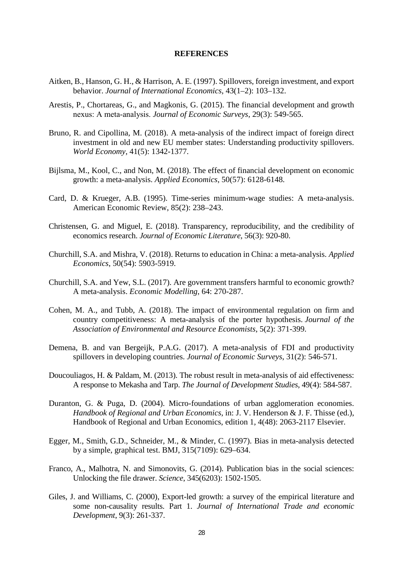#### **REFERENCES**

- Aitken, B., Hanson, G. H., & Harrison, A. E. (1997). Spillovers, foreign investment, and export behavior. *Journal of International Economics*, 43(1–2): 103–132.
- Arestis, P., Chortareas, G., and Magkonis, G. (2015). The financial development and growth nexus: A meta‐analysis. *Journal of Economic Surveys*, 29(3): 549-565.
- Bruno, R. and Cipollina, M. (2018). A meta-analysis of the indirect impact of foreign direct investment in old and new EU member states: Understanding productivity spillovers. *World Economy*, 41(5): 1342-1377.
- Bijlsma, M., Kool, C., and Non, M. (2018). The effect of financial development on economic growth: a meta-analysis. *Applied Economics*, 50(57): 6128-6148.
- Card, D. & Krueger, A.B. (1995). Time-series minimum-wage studies: A meta-analysis. American Economic Review, 85(2): 238–243.
- Christensen, G. and Miguel, E. (2018). Transparency, reproducibility, and the credibility of economics research. *Journal of Economic Literature*, 56(3): 920-80.
- Churchill, S.A. and Mishra, V. (2018). Returns to education in China: a meta-analysis. *Applied Economics*, 50(54): 5903-5919.
- Churchill, S.A. and Yew, S.L. (2017). Are government transfers harmful to economic growth? A meta-analysis. *Economic Modelling*, 64: 270-287.
- Cohen, M. A., and Tubb, A. (2018). The impact of environmental regulation on firm and country competitiveness: A meta-analysis of the porter hypothesis. *Journal of the Association of Environmental and Resource Economists*, 5(2): 371-399.
- Demena, B. and van Bergeijk, P.A.G. (2017). A meta-analysis of FDI and productivity spillovers in developing countries. *Journal of Economic Surveys*, 31(2): 546-571.
- Doucouliagos, H. & Paldam, M. (2013). The robust result in meta-analysis of aid effectiveness: A response to Mekasha and Tarp. *The Journal of Development Studies*, 49(4): 584-587.
- Duranton, G. & Puga, D. (2004). Micro-foundations of urban agglomeration economies. *Handbook of Regional and Urban Economics*, in: J. V. Henderson & J. F. Thisse (ed.), Handbook of Regional and Urban Economics, edition 1, 4(48): 2063-2117 Elsevier.
- Egger, M., Smith, G.D., Schneider, M., & Minder, C. (1997). Bias in meta-analysis detected by a simple, graphical test. BMJ, 315(7109): 629–634.
- Franco, A., Malhotra, N. and Simonovits, G. (2014). Publication bias in the social sciences: Unlocking the file drawer. *Science*, 345(6203): 1502-1505.
- Giles, J. and Williams, C. (2000), Export-led growth: a survey of the empirical literature and some non-causality results. Part 1. *Journal of International Trade and economic Development*, 9(3): 261-337.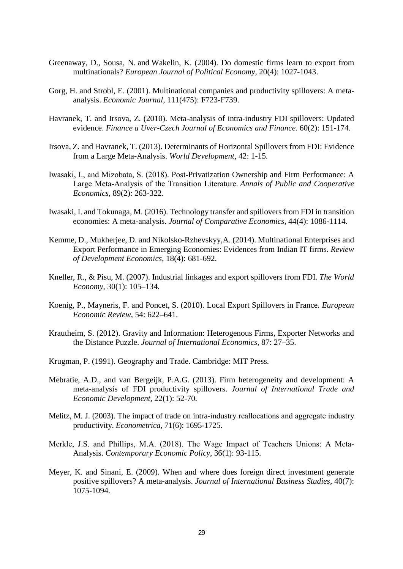- [Greenaway,](https://econpapers.repec.org/RAS/pgr127.htm) D., Sousa, N. and Wakelin, K. (2004). Do domestic firms learn to export from multinationals? *[European Journal of Political Economy](https://econpapers.repec.org/article/eeepoleco/)*, 20(4): 1027-1043.
- Gorg, H. and Strobl, E. (2001). Multinational companies and productivity spillovers: A metaanalysis. *Economic Journal*, 111(475): F723-F739.
- Havranek, T. and Irsova, Z. (2010). Meta-analysis of intra-industry FDI spillovers: Updated evidence. *Finance a Uver-Czech Journal of Economics and Finance*. 60(2): 151-174.
- Irsova, Z. and Havranek, T. (2013). Determinants of Horizontal Spillovers from FDI: Evidence from a Large Meta-Analysis. *World Development*, 42: 1-15.
- Iwasaki, I., and Mizobata, S. (2018). Post‐Privatization Ownership and Firm Performance: A Large Meta‐Analysis of the Transition Literature. *Annals of Public and Cooperative Economics*, 89(2): 263-322.
- Iwasaki, I. and Tokunaga, M. (2016). Technology transfer and spillovers from FDI in transition economies: A meta-analysis. *Journal of Comparative Economics,* 44(4): 1086-1114.
- Kemme, D., Mukherjee, D. and Nikolsko-Rzhevskyy,A. (2014). Multinational Enterprises and Export Performance in Emerging Economies: Evidences from Indian IT firms. *Review of Development Economics*, 18(4): 681-692.
- Kneller, R., & Pisu, M. (2007). Industrial linkages and export spillovers from FDI. *The World Economy*, 30(1): 105–134.
- Koenig, P., Mayneris, F. and Poncet, S. (2010). Local Export Spillovers in France. *European Economic Review*, 54: 622–641.
- Krautheim, S. (2012). Gravity and Information: Heterogenous Firms, Exporter Networks and the Distance Puzzle. *Journal of International Economics*, 87: 27–35.
- Krugman, P. (1991). Geography and Trade. Cambridge: MIT Press.
- Mebratie, A.D., and van Bergeijk, P.A.G. (2013). Firm heterogeneity and development: A meta-analysis of FDI productivity spillovers. *Journal of International Trade and Economic Development*, 22(1): 52-70.
- Melitz, M. J. (2003). The impact of trade on intra-industry reallocations and aggregate industry productivity. *Econometrica*, 71(6): 1695-1725.
- Merkle, J.S. and Phillips, M.A. (2018). The Wage Impact of Teachers Unions: A Meta-Analysis. *Contemporary Economic Policy*, 36(1): 93-115.
- Meyer, K. and Sinani, E. (2009). When and where does foreign direct investment generate positive spillovers? A meta-analysis. *Journal of International Business Studies,* 40(7): 1075-1094.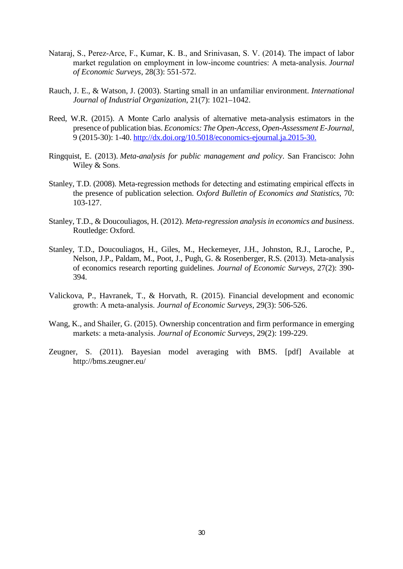- Nataraj, S., Perez-Arce, F., Kumar, K. B., and Srinivasan, S. V. (2014). The impact of labor market regulation on employment in low‐income countries: A meta‐analysis. *Journal of Economic Surveys*, 28(3): 551-572.
- Rauch, J. E., & Watson, J. (2003). Starting small in an unfamiliar environment. *International Journal of Industrial Organization*, 21(7): 1021–1042.
- Reed, W.R. (2015). A Monte Carlo analysis of alternative meta-analysis estimators in the presence of publication bias. *Economics: The Open-Access, Open-Assessment E-Journal*, 9 (2015-30): 1-40. [http://dx.doi.org/10.5018/economics-ejournal.ja.2015-30.](http://dx.doi.org/10.5018/economics-ejournal.ja.2015-30)
- Ringquist, E. (2013). *Meta-analysis for public management and policy*. San Francisco: John Wiley & Sons.
- Stanley, T.D. (2008). Meta-regression methods for detecting and estimating empirical effects in the presence of publication selection. *Oxford Bulletin of Economics and Statistics*, 70: 103-127.
- Stanley, T.D., & Doucouliagos, H. (2012). *Meta-regression analysis in economics and business*. Routledge: Oxford.
- Stanley, T.D., Doucouliagos, H., Giles, M., Heckemeyer, J.H., Johnston, R.J., Laroche, P., Nelson, J.P., Paldam, M., Poot, J., Pugh, G. & Rosenberger, R.S. (2013). Meta‐analysis of economics research reporting guidelines. *Journal of Economic Surveys*, 27(2): 390- 394.
- Valickova, P., Havranek, T., & Horvath, R. (2015). Financial development and economic growth: A meta‐analysis. *Journal of Economic Surveys*, 29(3): 506-526.
- Wang, K., and Shailer, G. (2015). Ownership concentration and firm performance in emerging markets: a meta‐analysis. *Journal of Economic Surveys*, 29(2): 199-229.
- Zeugner, S. (2011). Bayesian model averaging with BMS. [pdf] Available at http://bms.zeugner.eu/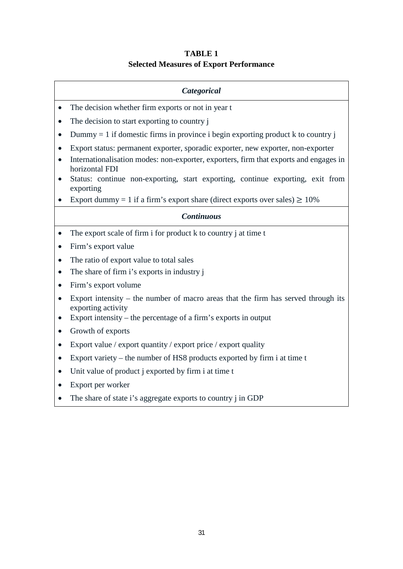## **TABLE 1 Selected Measures of Export Performance**

#### *Categorical*

- The decision whether firm exports or not in year t
- The decision to start exporting to country j
- Dummy = 1 if domestic firms in province i begin exporting product k to country j
- Export status: permanent exporter, sporadic exporter, new exporter, non-exporter
- Internationalisation modes: non-exporter, exporters, firm that exports and engages in horizontal FDI
- Status: continue non-exporting, start exporting, continue exporting, exit from exporting
- Export dummy = 1 if a firm's export share (direct exports over sales)  $\geq 10\%$

#### *Continuous*

- The export scale of firm i for product k to country i at time t
- Firm's export value
- The ratio of export value to total sales
- The share of firm i's exports in industry j
- Firm's export volume
- Export intensity the number of macro areas that the firm has served through its exporting activity
- Export intensity the percentage of a firm's exports in output
- Growth of exports
- Export value / export quantity / export price / export quality
- Export variety the number of HS8 products exported by firm i at time t
- Unit value of product j exported by firm i at time t
- Export per worker
- The share of state i's aggregate exports to country i in GDP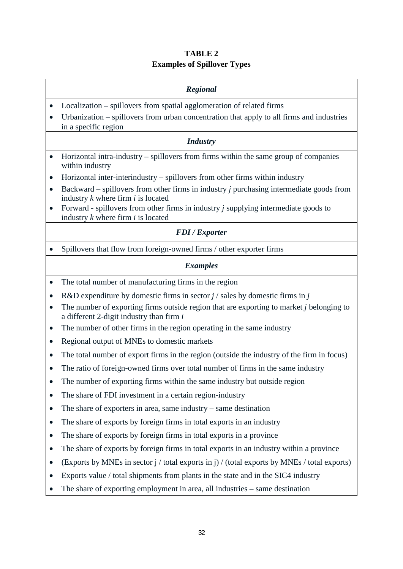## **TABLE 2 Examples of Spillover Types**

## *Regional* • Localization – spillovers from spatial agglomeration of related firms • Urbanization – spillovers from urban concentration that apply to all firms and industries in a specific region *Industry* • Horizontal intra-industry – spillovers from firms within the same group of companies within industry • Horizontal inter-interindustry – spillovers from other firms within industry • Backward – spillovers from other firms in industry *j* purchasing intermediate goods from industry *k* where firm *i* is located • Forward - spillovers from other firms in industry *j* supplying intermediate goods to industry *k* where firm *i* is located *FDI / Exporter* • Spillovers that flow from foreign-owned firms / other exporter firms *Examples* • The total number of manufacturing firms in the region • R&D expenditure by domestic firms in sector *j* / sales by domestic firms in *j* • The number of exporting firms outside region that are exporting to market *j* belonging to a different 2-digit industry than firm *i* • The number of other firms in the region operating in the same industry • Regional output of MNEs to domestic markets • The total number of export firms in the region (outside the industry of the firm in focus) • The ratio of foreign-owned firms over total number of firms in the same industry • The number of exporting firms within the same industry but outside region • The share of FDI investment in a certain region-industry • The share of exporters in area, same industry – same destination • The share of exports by foreign firms in total exports in an industry • The share of exports by foreign firms in total exports in a province • The share of exports by foreign firms in total exports in an industry within a province • (Exports by MNEs in sector  $j / \text{total exports in } j / (\text{total exports by MNEs } / \text{total exports})$ )

- Exports value / total shipments from plants in the state and in the SIC4 industry
- The share of exporting employment in area, all industries same destination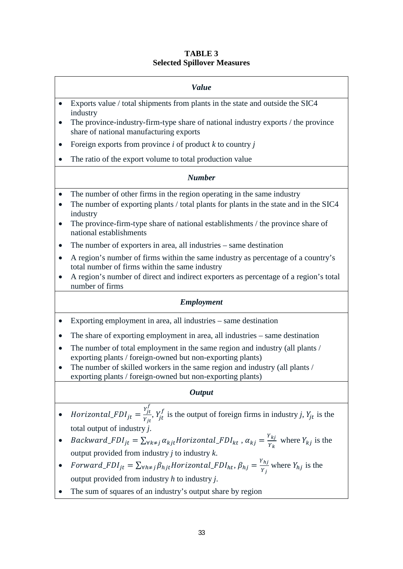#### **TABLE 3 Selected Spillover Measures**

|           | <b>Value</b>                                                                                                                 |
|-----------|------------------------------------------------------------------------------------------------------------------------------|
| $\bullet$ | Exports value / total shipments from plants in the state and outside the SIC4<br>industry                                    |
| $\bullet$ | The province-industry-firm-type share of national industry exports / the province<br>share of national manufacturing exports |
| $\bullet$ | Foreign exports from province $i$ of product $k$ to country $j$                                                              |
| $\bullet$ | The ratio of the export volume to total production value                                                                     |
|           | <b>Number</b>                                                                                                                |
| $\bullet$ | The number of other firms in the region operating in the same industry                                                       |
|           |                                                                                                                              |
| $\bullet$ | The number of exporting plants / total plants for plants in the state and in the SIC4<br>industry                            |
| $\bullet$ | The province-firm-type share of national establishments / the province share of<br>national establishments                   |

- A region's number of firms within the same industry as percentage of a country's total number of firms within the same industry
- A region's number of direct and indirect exporters as percentage of a region's total number of firms

## *Employment*

- Exporting employment in area, all industries same destination
- The share of exporting employment in area, all industries same destination
- The number of total employment in the same region and industry (all plants / exporting plants / foreign-owned but non-exporting plants)
- The number of skilled workers in the same region and industry (all plants / exporting plants / foreign-owned but non-exporting plants)

#### *Output*

- Horizontal\_FDI<sub>jt</sub> =  $\frac{Y_f^f}{Y_H}$  $\frac{J_t}{Y_{jt}}$ ,  $Y_j$  is the output of foreign firms in industry *j*,  $Y_{jt}$  is the total output of industry *j*.
- *Backward\_FDI*<sub>jt</sub> =  $\sum_{\forall k \neq j} \alpha_{k j t}$ *Horizontal\_FDI*<sub>kt</sub>,  $\alpha_{k j} = \frac{Y_{k j}}{Y_k}$  where  $Y_{k j}$  is the output provided from industry *j* to industry *k*.
- Forward\_FDI<sub>jt</sub> =  $\sum_{\forall h \neq j} \beta_{hjt}$ Horizontal\_FDI<sub>ht</sub>,  $\beta_{hj} = \frac{Y_{hj}}{Y_j}$  where  $Y_{hj}$  is the output provided from industry *h* to industry *j*.
- The sum of squares of an industry's output share by region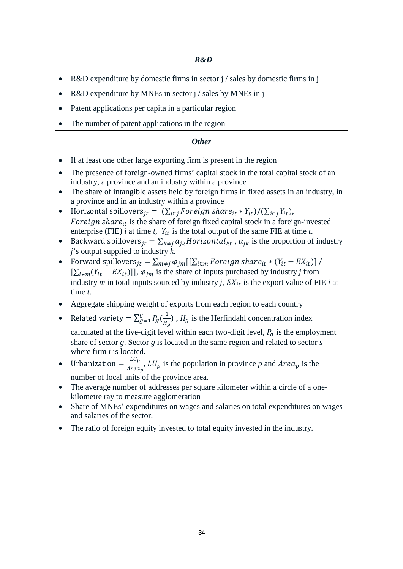*R&D*

- R&D expenditure by domestic firms in sector j / sales by domestic firms in j
- R&D expenditure by MNEs in sector j / sales by MNEs in j
- Patent applications per capita in a particular region
- The number of patent applications in the region

## *Other*

- If at least one other large exporting firm is present in the region
- The presence of foreign-owned firms' capital stock in the total capital stock of an industry, a province and an industry within a province
- The share of intangible assets held by foreign firms in fixed assets in an industry, in a province and in an industry within a province
- Horizontal spillovers  $_{it} = (\sum_{i \in i} Foreign \text{ series}) \cdot \frac{P}{i}$   $* Y_{it}$  )/ $(\sum_{i \in i} Y_{it})$ , Foreign share $_{it}$  is the share of foreign fixed capital stock in a foreign-invested enterprise (FIE) *i* at time *t*,  $Y_{it}$  is the total output of the same FIE at time *t*.
- Backward spillovers  $_{it} = \sum_{k \neq j} \alpha_{jk}$  Horizontal<sub>kt</sub>,  $\alpha_{jk}$  is the proportion of industry *j*'s output supplied to industry *k*.
- Forward spillovers  $_{it} = \sum_{m \neq j} \varphi_{jm} [[\sum_{i \in m} Foreign\, s) ]$  for  $_{it} * (Y_{it} E X_{it}) ]$  /  $[\sum_{i \in m}(Y_{it} - EX_{it})]$ ,  $\varphi_{jm}$  is the share of inputs purchased by industry *j* from industry *m* in total inputs sourced by industry *j*,  $EX_{it}$  is the export value of FIE *i* at time *t*.
- Aggregate shipping weight of exports from each region to each country
- Related variety =  $\sum_{g=1}^{G} P_g(\frac{1}{H_g})$ ,  $H_g$  is the Herfindahl concentration index

calculated at the five-digit level within each two-digit level,  $P_q$  is the employment share of sector *g*. Sector *g* is located in the same region and related to sector *s* where firm *i* is located.

- Urbanization  $= \frac{L U_p}{Area_p}$ ,  $L U_p$  is the population in province p and  $Area_p$  is the number of local units of the province area.
- The average number of addresses per square kilometer within a circle of a onekilometre ray to measure agglomeration
- Share of MNEs' expenditures on wages and salaries on total expenditures on wages and salaries of the sector.
- The ratio of foreign equity invested to total equity invested in the industry.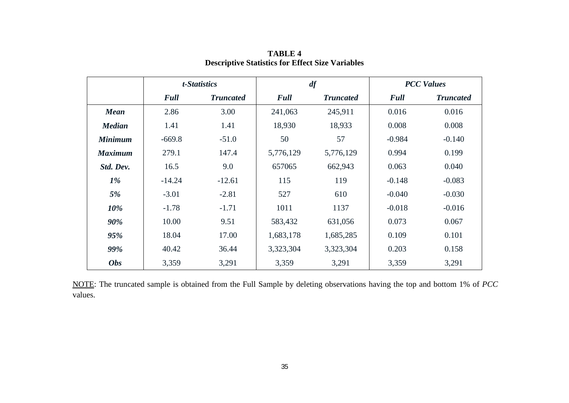|                | t-Statistics |                  | df          |                  | <b>PCC Values</b> |                  |
|----------------|--------------|------------------|-------------|------------------|-------------------|------------------|
|                | <b>Full</b>  | <b>Truncated</b> | <b>Full</b> | <b>Truncated</b> | <b>Full</b>       | <b>Truncated</b> |
| <b>Mean</b>    | 2.86         | 3.00             | 241,063     | 245,911          | 0.016             | 0.016            |
| <b>Median</b>  | 1.41         | 1.41             | 18,930      | 18,933           | 0.008             | 0.008            |
| <b>Minimum</b> | $-669.8$     | $-51.0$          | 50          | 57               | $-0.984$          | $-0.140$         |
| <b>Maximum</b> | 279.1        | 147.4            | 5,776,129   | 5,776,129        | 0.994             | 0.199            |
| Std. Dev.      | 16.5         | 9.0              | 657065      | 662,943          | 0.063             | 0.040            |
| $1\%$          | $-14.24$     | $-12.61$         | 115         | 119              | $-0.148$          | $-0.083$         |
| 5%             | $-3.01$      | $-2.81$          | 527         | 610              | $-0.040$          | $-0.030$         |
| 10%            | $-1.78$      | $-1.71$          | 1011        | 1137             | $-0.018$          | $-0.016$         |
| 90%            | 10.00        | 9.51             | 583,432     | 631,056          | 0.073             | 0.067            |
| 95%            | 18.04        | 17.00            | 1,683,178   | 1,685,285        | 0.109             | 0.101            |
| 99%            | 40.42        | 36.44            | 3,323,304   | 3,323,304        | 0.203             | 0.158            |
| <b>Obs</b>     | 3,359        | 3,291            | 3,359       | 3,291            | 3,359             | 3,291            |

**TABLE 4 Descriptive Statistics for Effect Size Variables**

NOTE: The truncated sample is obtained from the Full Sample by deleting observations having the top and bottom 1% of *PCC*  values.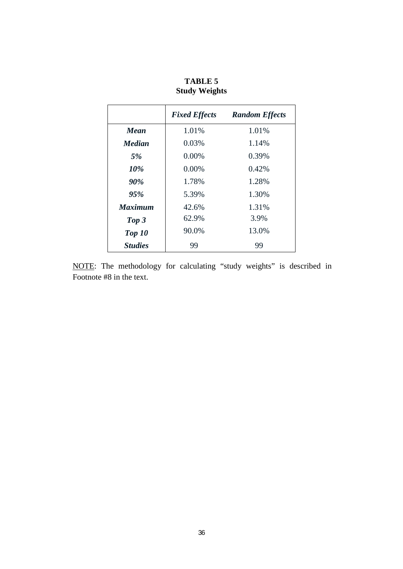|                | <b>Fixed Effects</b> | <b>Random Effects</b> |
|----------------|----------------------|-----------------------|
| Mean           | 1.01%                | 1.01%                 |
| <b>Median</b>  | 0.03%                | 1.14%                 |
| 5%             | $0.00\%$             | 0.39%                 |
| 10%            | $0.00\%$             | 0.42%                 |
| 90%            | 1.78%                | 1.28%                 |
| 95%            | 5.39%                | 1.30%                 |
| <b>Maximum</b> | 42.6%                | 1.31%                 |
| Top 3          | 62.9%                | 3.9%                  |
| Top 10         | 90.0%                | 13.0%                 |
| <b>Studies</b> | 99                   | 99                    |

**TABLE 5 Study Weights**

NOTE: The methodology for calculating "study weights" is described in Footnote #8 in the text.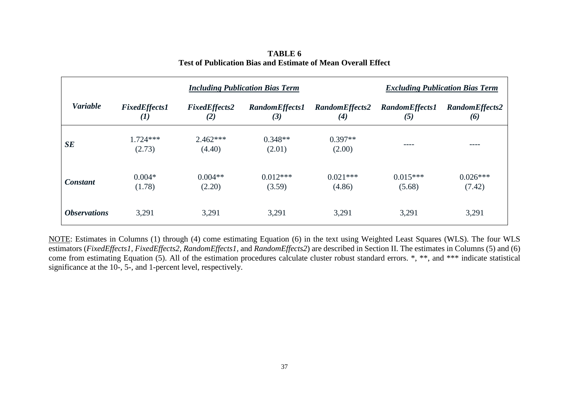| <b>Including Publication Bias Term</b> |                                            |                             |                              |                                              | <b>Excluding Publication Bias Term</b> |                       |  |
|----------------------------------------|--------------------------------------------|-----------------------------|------------------------------|----------------------------------------------|----------------------------------------|-----------------------|--|
| <b>Variable</b>                        | <b>FixedEffects1</b><br>$\boldsymbol{(1)}$ | <b>FixedEffects2</b><br>(2) | <b>RandomEffects1</b><br>(3) | <b>RandomEffects2</b><br>$\boldsymbol{r}(4)$ | <b>RandomEffects1</b><br>(5)           | RandomEffects2<br>(6) |  |
| SE                                     | $1.724***$<br>(2.73)                       | $2.462***$<br>(4.40)        | $0.348**$<br>(2.01)          | $0.397**$<br>(2.00)                          | ----                                   | ----                  |  |
| <b>Constant</b>                        | $0.004*$<br>(1.78)                         | $0.004**$<br>(2.20)         | $0.012***$<br>(3.59)         | $0.021***$<br>(4.86)                         | $0.015***$<br>(5.68)                   | $0.026***$<br>(7.42)  |  |
| <i><b>Observations</b></i>             | 3,291                                      | 3,291                       | 3,291                        | 3,291                                        | 3,291                                  | 3,291                 |  |

**TABLE 6 Test of Publication Bias and Estimate of Mean Overall Effect**

NOTE: Estimates in Columns (1) through (4) come estimating Equation (6) in the text using Weighted Least Squares (WLS). The four WLS estimators (*FixedEffects1, FixedEffects2, RandomEffects1,* and *RandomEffects2*) are described in Section II. The estimates in Columns (5) and (6) come from estimating Equation (5). All of the estimation procedures calculate cluster robust standard errors. \*, \*\*, and \*\*\* indicate statistical significance at the 10-, 5-, and 1-percent level, respectively.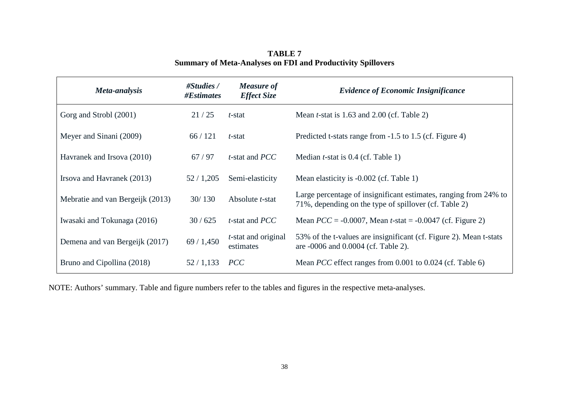| Meta-analysis                    | #Studies /<br>#Estimates | <b>Measure of</b><br><b>Effect Size</b> | <b>Evidence of Economic Insignificance</b>                                                                                |
|----------------------------------|--------------------------|-----------------------------------------|---------------------------------------------------------------------------------------------------------------------------|
| Gorg and Strobl (2001)           | 21/25                    | t-stat                                  | Mean $t$ -stat is 1.63 and 2.00 (cf. Table 2)                                                                             |
| Meyer and Sinani (2009)          | 66/121                   | t-stat                                  | Predicted t-stats range from -1.5 to 1.5 (cf. Figure 4)                                                                   |
| Havranek and Irsova (2010)       | 67/97                    | $t$ -stat and $PCC$                     | Median <i>t</i> -stat is $0.4$ (cf. Table 1)                                                                              |
| Irsova and Havranek (2013)       | 52/1,205                 | Semi-elasticity                         | Mean elasticity is -0.002 (cf. Table 1)                                                                                   |
| Mebratie and van Bergeijk (2013) | 30/130                   | Absolute <i>t</i> -stat                 | Large percentage of insignificant estimates, ranging from 24% to<br>71%, depending on the type of spillover (cf. Table 2) |
| Iwasaki and Tokunaga (2016)      | 30/625                   | <i>t</i> -stat and <i>PCC</i>           | Mean $PCC = -0.0007$ , Mean t-stat = $-0.0047$ (cf. Figure 2)                                                             |
| Demena and van Bergeijk (2017)   | 69/1,450                 | $t$ -stat and original<br>estimates     | 53% of the t-values are insignificant (cf. Figure 2). Mean t-stats<br>are -0006 and 0.0004 (cf. Table 2).                 |
| Bruno and Cipollina (2018)       | 52/1,133                 | <b>PCC</b>                              | Mean <i>PCC</i> effect ranges from 0.001 to 0.024 (cf. Table 6)                                                           |

**TABLE 7 Summary of Meta-Analyses on FDI and Productivity Spillovers**

NOTE: Authors' summary. Table and figure numbers refer to the tables and figures in the respective meta-analyses.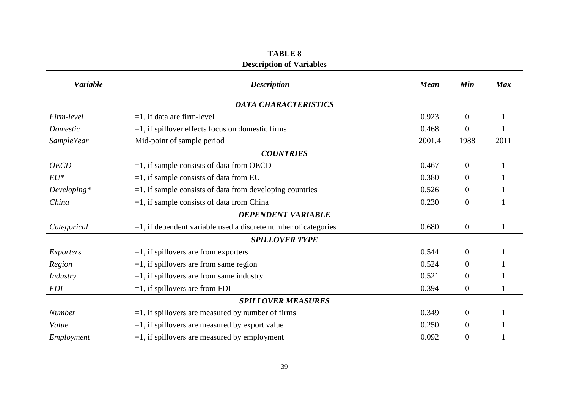## **TABLE 8 Description of Variables**

 $\mathbf{r}$ 

| <b>Variable</b>   | <b>Description</b>                                                | <b>Mean</b> | Min            | <b>Max</b> |  |  |  |  |  |
|-------------------|-------------------------------------------------------------------|-------------|----------------|------------|--|--|--|--|--|
|                   | <b>DATA CHARACTERISTICS</b>                                       |             |                |            |  |  |  |  |  |
| Firm-level        | $=1$ , if data are firm-level                                     | 0.923       | $\mathbf{0}$   |            |  |  |  |  |  |
| Domestic          | $=1$ , if spillover effects focus on domestic firms               | 0.468       | $\Omega$       |            |  |  |  |  |  |
| <b>SampleYear</b> | Mid-point of sample period                                        | 2001.4      | 1988           | 2011       |  |  |  |  |  |
|                   | <b>COUNTRIES</b>                                                  |             |                |            |  |  |  |  |  |
| <b>OECD</b>       | $=1$ , if sample consists of data from OECD                       | 0.467       | $\overline{0}$ |            |  |  |  |  |  |
| $EU^*$            | $=1$ , if sample consists of data from EU                         | 0.380       | $\Omega$       |            |  |  |  |  |  |
| $Developing*$     | $=$ 1, if sample consists of data from developing countries       | 0.526       | $\overline{0}$ |            |  |  |  |  |  |
| China             | $=1$ , if sample consists of data from China                      | 0.230       | $\overline{0}$ |            |  |  |  |  |  |
|                   | <b>DEPENDENT VARIABLE</b>                                         |             |                |            |  |  |  |  |  |
| Categorical       | $=$ 1, if dependent variable used a discrete number of categories | 0.680       | $\overline{0}$ | 1          |  |  |  |  |  |
|                   | <b>SPILLOVER TYPE</b>                                             |             |                |            |  |  |  |  |  |
| Exporters         | $=1$ , if spillovers are from exporters                           | 0.544       | $\mathbf{0}$   |            |  |  |  |  |  |
| Region            | $=1$ , if spillovers are from same region                         | 0.524       | $\Omega$       |            |  |  |  |  |  |
| Industry          | $=1$ , if spillovers are from same industry                       | 0.521       | $\overline{0}$ |            |  |  |  |  |  |
| <b>FDI</b>        | $=1$ , if spillovers are from FDI                                 | 0.394       | $\overline{0}$ |            |  |  |  |  |  |
|                   | <b>SPILLOVER MEASURES</b>                                         |             |                |            |  |  |  |  |  |
| Number            | $=$ 1, if spillovers are measured by number of firms              | 0.349       | $\overline{0}$ |            |  |  |  |  |  |
| Value             | $=$ 1, if spillovers are measured by export value                 | 0.250       | $\theta$       |            |  |  |  |  |  |
| Employment        | $=1$ , if spillovers are measured by employment                   | 0.092       | $\overline{0}$ |            |  |  |  |  |  |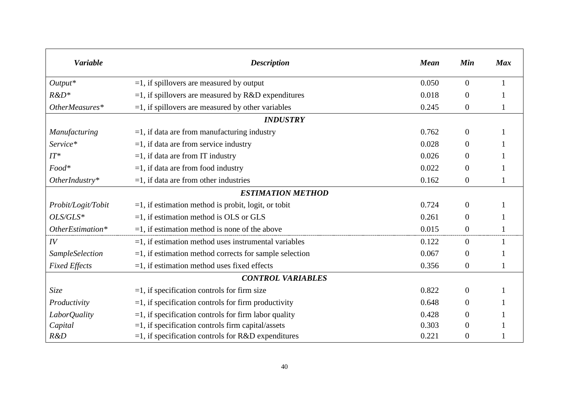| <b>Variable</b>        | <b>Description</b>                                        | <b>Mean</b> | Min              | <b>Max</b> |
|------------------------|-----------------------------------------------------------|-------------|------------------|------------|
| $Output*$              | $=$ 1, if spillovers are measured by output               | 0.050       | $\overline{0}$   | 1          |
| $R&D*$                 | $=1$ , if spillovers are measured by R&D expenditures     | 0.018       | $\theta$         |            |
| OtherMeasures*         | $=1$ , if spillovers are measured by other variables      | 0.245       | $\boldsymbol{0}$ |            |
|                        | <b>INDUSTRY</b>                                           |             |                  |            |
| Manufacturing          | $=1$ , if data are from manufacturing industry            | 0.762       | $\overline{0}$   |            |
| Service*               | $=1$ , if data are from service industry                  | 0.028       | $\overline{0}$   |            |
| $IT^*$                 | $=1$ , if data are from IT industry                       | 0.026       | $\overline{0}$   |            |
| Food*                  | $=1$ , if data are from food industry                     | 0.022       | $\boldsymbol{0}$ |            |
| $Other Industry*$      | $=1$ , if data are from other industries                  | 0.162       | $\boldsymbol{0}$ |            |
|                        | <b>ESTIMATION METHOD</b>                                  |             |                  |            |
| Probit/Logit/Tobit     | $=1$ , if estimation method is probit, logit, or tobit    | 0.724       | $\mathbf{0}$     |            |
| OLS/GLS*               | $=1$ , if estimation method is OLS or GLS                 | 0.261       | $\overline{0}$   |            |
| OtherEstimation*       | $=1$ , if estimation method is none of the above          | 0.015       | $\mathbf{0}$     |            |
| IV                     | $=1$ , if estimation method uses instrumental variables   | 0.122       | $\overline{0}$   |            |
| <b>SampleSelection</b> | $=1$ , if estimation method corrects for sample selection | 0.067       | $\overline{0}$   |            |
| <b>Fixed Effects</b>   | $=1$ , if estimation method uses fixed effects            | 0.356       | $\boldsymbol{0}$ |            |
|                        | <b>CONTROL VARIABLES</b>                                  |             |                  |            |
| Size                   | $=1$ , if specification controls for firm size            | 0.822       | $\overline{0}$   |            |
| Productivity           | $=1$ , if specification controls for firm productivity    | 0.648       | $\overline{0}$   |            |
| LaborQuality           | $=$ 1, if specification controls for firm labor quality   | 0.428       | $\overline{0}$   |            |
| Capital                | $=1$ , if specification controls firm capital/assets      | 0.303       | $\theta$         |            |
| R&D                    | $=1$ , if specification controls for R&D expenditures     | 0.221       | 0                |            |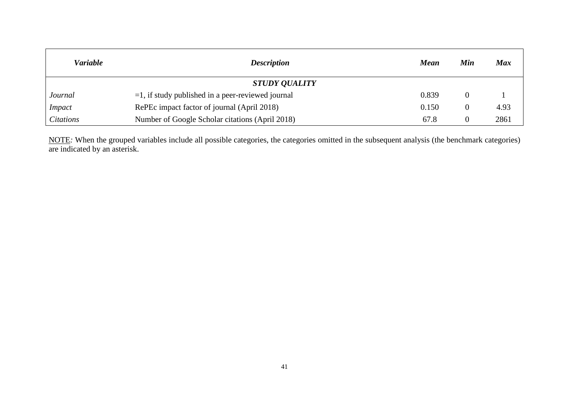| <b>Variable</b>  | <b>Description</b>                                   | <b>Mean</b> | Min | <b>Max</b> |
|------------------|------------------------------------------------------|-------------|-----|------------|
|                  | <b>STUDY QUALITY</b>                                 |             |     |            |
| Journal          | $=$ 1, if study published in a peer-reviewed journal | 0.839       |     |            |
| <i>Impact</i>    | RePEc impact factor of journal (April 2018)          | 0.150       |     | 4.93       |
| <i>Citations</i> | Number of Google Scholar citations (April 2018)      | 67.8        |     | 2861       |

NOTE*:* When the grouped variables include all possible categories, the categories omitted in the subsequent analysis (the benchmark categories) are indicated by an asterisk.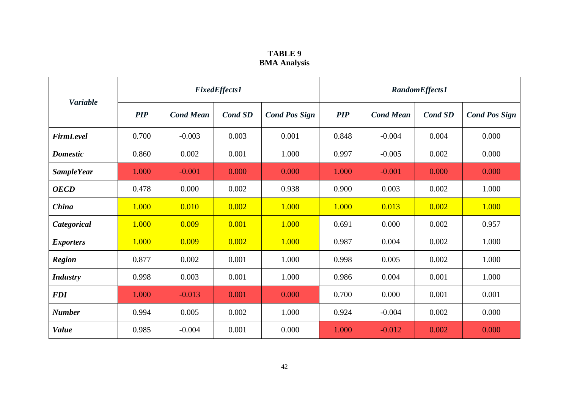## **TABLE 9 BMA Analysis**

|                   | <b>FixedEffects1</b> |                  |                |                      | <b>RandomEffects1</b> |                  |                |                      |
|-------------------|----------------------|------------------|----------------|----------------------|-----------------------|------------------|----------------|----------------------|
| <b>Variable</b>   | <b>PIP</b>           | <b>Cond Mean</b> | <b>Cond SD</b> | <b>Cond Pos Sign</b> | <b>PIP</b>            | <b>Cond Mean</b> | <b>Cond SD</b> | <b>Cond Pos Sign</b> |
| <b>FirmLevel</b>  | 0.700                | $-0.003$         | 0.003          | 0.001                | 0.848                 | $-0.004$         | 0.004          | 0.000                |
| <b>Domestic</b>   | 0.860                | 0.002            | 0.001          | 1.000                | 0.997                 | $-0.005$         | 0.002          | 0.000                |
| <b>SampleYear</b> | 1.000                | $-0.001$         | 0.000          | 0.000                | 1.000                 | $-0.001$         | 0.000          | 0.000                |
| <b>OECD</b>       | 0.478                | 0.000            | 0.002          | 0.938                | 0.900                 | 0.003            | 0.002          | 1.000                |
| China             | 1.000                | 0.010            | 0.002          | 1.000                | 1.000                 | 0.013            | 0.002          | 1.000                |
| Categorical       | 1.000                | 0.009            | 0.001          | 1.000                | 0.691                 | 0.000            | 0.002          | 0.957                |
| <b>Exporters</b>  | 1.000                | 0.009            | 0.002          | 1.000                | 0.987                 | 0.004            | 0.002          | 1.000                |
| <b>Region</b>     | 0.877                | 0.002            | 0.001          | 1.000                | 0.998                 | 0.005            | 0.002          | 1.000                |
| <b>Industry</b>   | 0.998                | 0.003            | 0.001          | 1.000                | 0.986                 | 0.004            | 0.001          | 1.000                |
| <b>FDI</b>        | 1.000                | $-0.013$         | 0.001          | 0.000                | 0.700                 | 0.000            | 0.001          | 0.001                |
| <b>Number</b>     | 0.994                | 0.005            | 0.002          | 1.000                | 0.924                 | $-0.004$         | 0.002          | 0.000                |
| <b>Value</b>      | 0.985                | $-0.004$         | 0.001          | 0.000                | 1.000                 | $-0.012$         | 0.002          | 0.000                |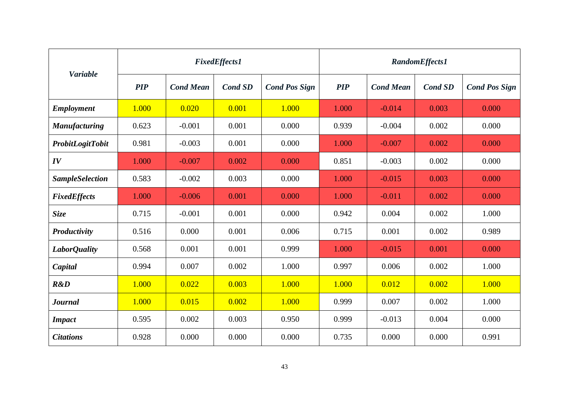|                         | <b>FixedEffects1</b> |                  |                |                      | <b>RandomEffects1</b> |                  |                |                      |
|-------------------------|----------------------|------------------|----------------|----------------------|-----------------------|------------------|----------------|----------------------|
| <b>Variable</b>         | <b>PIP</b>           | <b>Cond Mean</b> | <b>Cond SD</b> | <b>Cond Pos Sign</b> | <b>PIP</b>            | <b>Cond Mean</b> | <b>Cond SD</b> | <b>Cond Pos Sign</b> |
| <b>Employment</b>       | 1.000                | 0.020            | 0.001          | 1.000                | 1.000                 | $-0.014$         | 0.003          | 0.000                |
| <b>Manufacturing</b>    | 0.623                | $-0.001$         | 0.001          | 0.000                | 0.939                 | $-0.004$         | 0.002          | 0.000                |
| <b>ProbitLogitTobit</b> | 0.981                | $-0.003$         | 0.001          | 0.000                | 1.000                 | $-0.007$         | 0.002          | 0.000                |
| IV                      | 1.000                | $-0.007$         | 0.002          | 0.000                | 0.851                 | $-0.003$         | 0.002          | 0.000                |
| <b>SampleSelection</b>  | 0.583                | $-0.002$         | 0.003          | 0.000                | 1.000                 | $-0.015$         | 0.003          | 0.000                |
| <b>FixedEffects</b>     | 1.000                | $-0.006$         | 0.001          | 0.000                | 1.000                 | $-0.011$         | 0.002          | 0.000                |
| <b>Size</b>             | 0.715                | $-0.001$         | 0.001          | 0.000                | 0.942                 | 0.004            | 0.002          | 1.000                |
| Productivity            | 0.516                | 0.000            | 0.001          | 0.006                | 0.715                 | 0.001            | 0.002          | 0.989                |
| LaborQuality            | 0.568                | 0.001            | 0.001          | 0.999                | 1.000                 | $-0.015$         | 0.001          | 0.000                |
| Capital                 | 0.994                | 0.007            | 0.002          | 1.000                | 0.997                 | 0.006            | 0.002          | 1.000                |
| R&D                     | 1.000                | 0.022            | 0.003          | 1.000                | 1.000                 | 0.012            | 0.002          | 1.000                |
| <b>Journal</b>          | 1.000                | 0.015            | 0.002          | 1.000                | 0.999                 | 0.007            | 0.002          | 1.000                |
| <b>Impact</b>           | 0.595                | 0.002            | 0.003          | 0.950                | 0.999                 | $-0.013$         | 0.004          | 0.000                |
| <b>Citations</b>        | 0.928                | 0.000            | 0.000          | 0.000                | 0.735                 | 0.000            | 0.000          | 0.991                |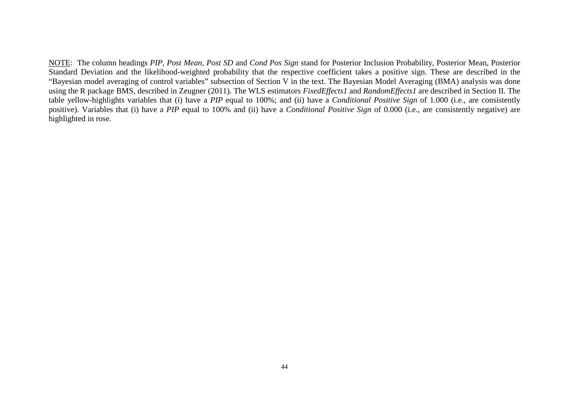NOTE: The column headings *PIP, Post Mean, Post SD* and *Cond Pos Sign* stand for Posterior Inclusion Probability, Posterior Mean, Posterior Standard Deviation and the likelihood-weighted probability that the respective coefficient takes a positive sign. These are described in the "Bayesian model averaging of control variables" subsection of Section V in the text. The Bayesian Model Averaging (BMA) analysis was done using the R package BMS, described in Zeugner (2011). The WLS estimators *FixedEffects1* and *RandomEffects1* are described in Section II. The table yellow-highlights variables that (i) have a *PIP* equal to 100%; and (ii) have a *Conditional Positive Sign* of 1.000 (i.e., are consistently positive). Variables that (i) have a *PIP* equal to 100% and (ii) have a *Conditional Positive Sign* of 0.000 (i.e., are consistently negative) are highlighted in rose.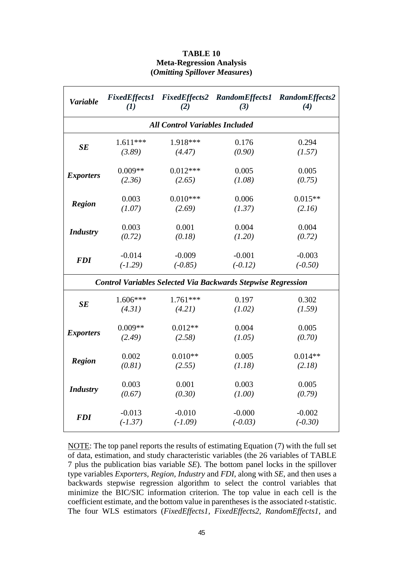#### **TABLE 10 Meta-Regression Analysis (***Omitting Spillover Measures***)**

| <b>Variable</b>                       | (I)        | (2)        | FixedEffects1 FixedEffects2 RandomEffects1 RandomEffects2<br>(3)    | (4)       |  |  |  |  |  |  |
|---------------------------------------|------------|------------|---------------------------------------------------------------------|-----------|--|--|--|--|--|--|
| <b>All Control Variables Included</b> |            |            |                                                                     |           |  |  |  |  |  |  |
| SE                                    | $1.611***$ | 1.918***   | 0.176                                                               | 0.294     |  |  |  |  |  |  |
|                                       | (3.89)     | (4.47)     | (0.90)                                                              | (1.57)    |  |  |  |  |  |  |
|                                       | $0.009**$  | $0.012***$ | 0.005                                                               | 0.005     |  |  |  |  |  |  |
| <b>Exporters</b>                      | (2.36)     | (2.65)     | (1.08)                                                              | (0.75)    |  |  |  |  |  |  |
|                                       | 0.003      | $0.010***$ | 0.006                                                               | $0.015**$ |  |  |  |  |  |  |
| <b>Region</b>                         | (1.07)     | (2.69)     | (1.37)                                                              | (2.16)    |  |  |  |  |  |  |
|                                       | 0.003      | 0.001      | 0.004                                                               | 0.004     |  |  |  |  |  |  |
| <b>Industry</b>                       | (0.72)     | (0.18)     | (1.20)                                                              | (0.72)    |  |  |  |  |  |  |
|                                       | $-0.014$   | $-0.009$   | $-0.001$                                                            | $-0.003$  |  |  |  |  |  |  |
| <b>FDI</b>                            | $(-1.29)$  | $(-0.85)$  | $(-0.12)$                                                           | $(-0.50)$ |  |  |  |  |  |  |
|                                       |            |            | <b>Control Variables Selected Via Backwards Stepwise Regression</b> |           |  |  |  |  |  |  |
|                                       | $1.606***$ | $1.761***$ | 0.197                                                               | 0.302     |  |  |  |  |  |  |
| SE                                    | (4.31)     | (4.21)     | (1.02)                                                              | (1.59)    |  |  |  |  |  |  |
|                                       | $0.009**$  | $0.012**$  | 0.004                                                               | 0.005     |  |  |  |  |  |  |
| <b>Exporters</b>                      | (2.49)     | (2.58)     | (1.05)                                                              | (0.70)    |  |  |  |  |  |  |
|                                       | 0.002      | $0.010**$  | 0.005                                                               | $0.014**$ |  |  |  |  |  |  |
| <b>Region</b>                         | (0.81)     | (2.55)     | (1.18)                                                              | (2.18)    |  |  |  |  |  |  |
|                                       | 0.003      | 0.001      | 0.003                                                               | 0.005     |  |  |  |  |  |  |
| <b>Industry</b>                       | (0.67)     | (0.30)     | (1.00)                                                              | (0.79)    |  |  |  |  |  |  |
|                                       | $-0.013$   | $-0.010$   | $-0.000$                                                            | $-0.002$  |  |  |  |  |  |  |
| <b>FDI</b>                            | $(-1.37)$  | $(-1.09)$  | $(-0.03)$                                                           | $(-0.30)$ |  |  |  |  |  |  |

NOTE: The top panel reports the results of estimating Equation (7) with the full set of data, estimation, and study characteristic variables (the 26 variables of TABLE 7 plus the publication bias variable *SE*). The bottom panel locks in the spillover type variables *Exporters, Region, Industry* and *FDI*, along with *SE*, and then uses a backwards stepwise regression algorithm to select the control variables that minimize the BIC/SIC information criterion. The top value in each cell is the coefficient estimate, and the bottom value in parentheses is the associated *t*-statistic. The four WLS estimators (*FixedEffects1, FixedEffects2, RandomEffects1,* and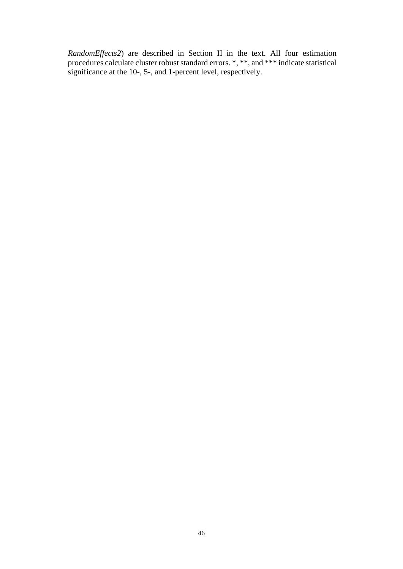*RandomEffects2*) are described in Section II in the text. All four estimation procedures calculate cluster robust standard errors. \*, \*\*, and \*\*\* indicate statistical significance at the 10-, 5-, and 1-percent level, respectively.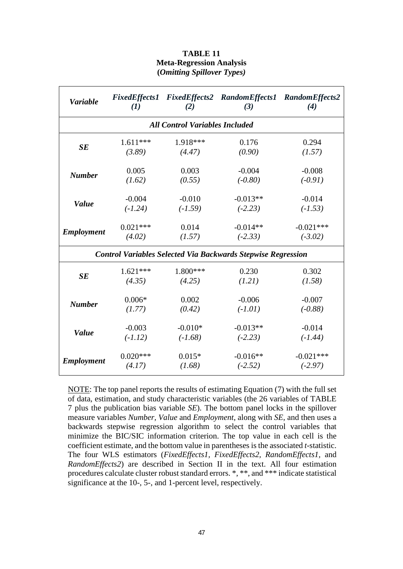#### **TABLE 11 Meta-Regression Analysis (***Omitting Spillover Types)*

| <b>Variable</b>                                | $\mathbf{U}$ | (2)                                   | FixedEffects1 FixedEffects2 RandomEffects1 RandomEffects2<br>(3)    | (4)         |  |  |  |  |  |
|------------------------------------------------|--------------|---------------------------------------|---------------------------------------------------------------------|-------------|--|--|--|--|--|
|                                                |              | <b>All Control Variables Included</b> |                                                                     |             |  |  |  |  |  |
| 1.918***<br>$1.611***$<br>0.176<br>0.294<br>SE |              |                                       |                                                                     |             |  |  |  |  |  |
|                                                | (3.89)       | (4.47)                                | (0.90)                                                              | (1.57)      |  |  |  |  |  |
| <b>Number</b>                                  | 0.005        | 0.003                                 | $-0.004$                                                            | $-0.008$    |  |  |  |  |  |
|                                                | (1.62)       | (0.55)                                | $(-0.80)$                                                           | $(-0.91)$   |  |  |  |  |  |
|                                                | $-0.004$     | $-0.010$                              | $-0.013**$                                                          | $-0.014$    |  |  |  |  |  |
| <b>Value</b>                                   | $(-1.24)$    | $(-1.59)$                             | $(-2.23)$                                                           | $(-1.53)$   |  |  |  |  |  |
|                                                | $0.021***$   | 0.014                                 | $-0.014**$                                                          | $-0.021***$ |  |  |  |  |  |
| <b>Employment</b>                              | (4.02)       | (1.57)                                | $(-2.33)$                                                           | $(-3.02)$   |  |  |  |  |  |
|                                                |              |                                       | <b>Control Variables Selected Via Backwards Stepwise Regression</b> |             |  |  |  |  |  |
|                                                | $1.621***$   | $1.800***$                            | 0.230                                                               | 0.302       |  |  |  |  |  |
| SE                                             | (4.35)       | (4.25)                                | (1.21)                                                              | (1.58)      |  |  |  |  |  |
|                                                | $0.006*$     | 0.002                                 | $-0.006$                                                            | $-0.007$    |  |  |  |  |  |
| <b>Number</b>                                  | (1.77)       | (0.42)                                | $(-1.01)$                                                           | $(-0.88)$   |  |  |  |  |  |
|                                                | $-0.003$     | $-0.010*$                             | $-0.013**$                                                          | $-0.014$    |  |  |  |  |  |
| <b>Value</b>                                   | $(-1.12)$    | $(-1.68)$                             | $(-2.23)$                                                           | $(-1.44)$   |  |  |  |  |  |
|                                                | $0.020***$   | $0.015*$                              | $-0.016**$                                                          | $-0.021***$ |  |  |  |  |  |
| <b>Employment</b>                              | (4.17)       | (1.68)                                | $(-2.52)$                                                           | $(-2.97)$   |  |  |  |  |  |

NOTE: The top panel reports the results of estimating Equation (7) with the full set of data, estimation, and study characteristic variables (the 26 variables of TABLE 7 plus the publication bias variable *SE*). The bottom panel locks in the spillover measure variables *Number, Value* and *Employment*, along with *SE*, and then uses a backwards stepwise regression algorithm to select the control variables that minimize the BIC/SIC information criterion. The top value in each cell is the coefficient estimate, and the bottom value in parentheses is the associated *t*-statistic. The four WLS estimators (*FixedEffects1, FixedEffects2, RandomEffects1,* and *RandomEffects2*) are described in Section II in the text. All four estimation procedures calculate cluster robust standard errors. \*, \*\*, and \*\*\* indicate statistical significance at the 10-, 5-, and 1-percent level, respectively.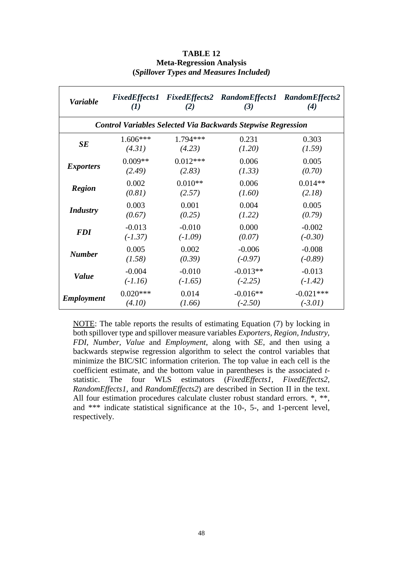#### **TABLE 12 Meta-Regression Analysis (***Spillover Types and Measures Included)*

| <b>Variable</b>                                                     | (I)        | (2)        | FixedEffects1 FixedEffects2 RandomEffects1 RandomEffects2<br>(3) | (4)         |  |  |
|---------------------------------------------------------------------|------------|------------|------------------------------------------------------------------|-------------|--|--|
| <b>Control Variables Selected Via Backwards Stepwise Regression</b> |            |            |                                                                  |             |  |  |
| SE                                                                  | $1.606***$ | $1.794***$ | 0.231                                                            | 0.303       |  |  |
|                                                                     | (4.31)     | (4.23)     | (1.20)                                                           | (1.59)      |  |  |
| <b>Exporters</b>                                                    | $0.009**$  | $0.012***$ | 0.006                                                            | 0.005       |  |  |
|                                                                     | (2.49)     | (2.83)     | (1.33)                                                           | (0.70)      |  |  |
| <b>Region</b>                                                       | 0.002      | $0.010**$  | 0.006                                                            | $0.014**$   |  |  |
|                                                                     | (0.81)     | (2.57)     | (1.60)                                                           | (2.18)      |  |  |
| <b>Industry</b>                                                     | 0.003      | 0.001      | 0.004                                                            | 0.005       |  |  |
|                                                                     | (0.67)     | (0.25)     | (1.22)                                                           | (0.79)      |  |  |
| <b>FDI</b>                                                          | $-0.013$   | $-0.010$   | 0.000                                                            | $-0.002$    |  |  |
|                                                                     | $(-1.37)$  | $(-1.09)$  | (0.07)                                                           | $(-0.30)$   |  |  |
| <b>Number</b>                                                       | 0.005      | 0.002      | $-0.006$                                                         | $-0.008$    |  |  |
|                                                                     | (1.58)     | (0.39)     | $(-0.97)$                                                        | $(-0.89)$   |  |  |
| <b>Value</b>                                                        | $-0.004$   | $-0.010$   | $-0.013**$                                                       | $-0.013$    |  |  |
|                                                                     | $(-1.16)$  | $(-1.65)$  | $(-2.25)$                                                        | $(-1.42)$   |  |  |
| <b>Employment</b>                                                   | $0.020***$ | 0.014      | $-0.016**$                                                       | $-0.021***$ |  |  |
|                                                                     | (4.10)     | (1.66)     | $(-2.50)$                                                        | $(-3.01)$   |  |  |

NOTE: The table reports the results of estimating Equation (7) by locking in both spillover type and spillover measure variables *Exporters, Region, Industry, FDI, Number, Value* and *Employment*, along with *SE*, and then using a backwards stepwise regression algorithm to select the control variables that minimize the BIC/SIC information criterion. The top value in each cell is the coefficient estimate, and the bottom value in parentheses is the associated *t*statistic. The four WLS estimators (*FixedEffects1, FixedEffects2, RandomEffects1,* and *RandomEffects2*) are described in Section II in the text. All four estimation procedures calculate cluster robust standard errors.  $*,$  \*\*, and \*\*\* indicate statistical significance at the 10-, 5-, and 1-percent level, respectively.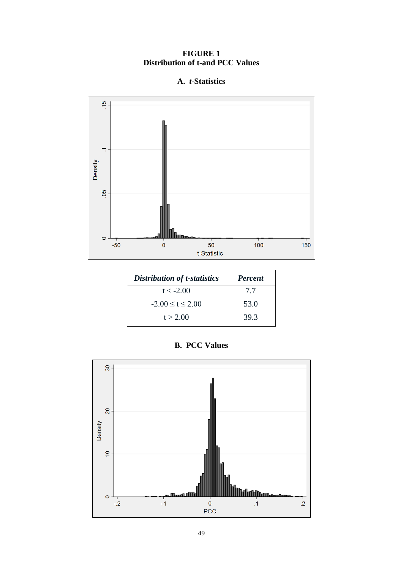## **FIGURE 1 Distribution of t-and PCC Values**

## **A.** *t***-Statistics**



| <b>Distribution of t-statistics</b> | <b>Percent</b> |
|-------------------------------------|----------------|
| $t < -2.00$                         | 7.7            |
| $-2.00 \le t \le 2.00$              | 53.0           |
| t > 2.00                            | 39.3           |

## **B. PCC Values**

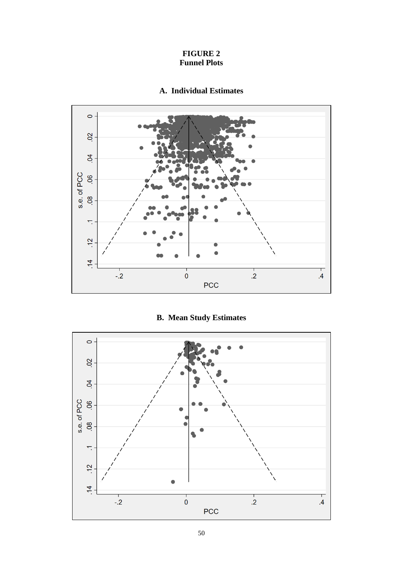#### **FIGURE 2 Funnel Plots**

## **A. Individual Estimates**



## **B. Mean Study Estimates**

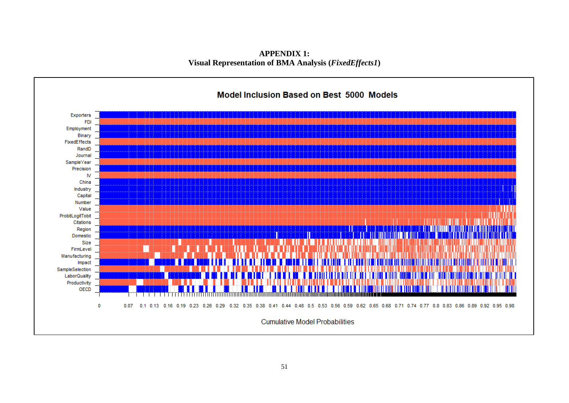**APPENDIX 1: Visual Representation of BMA Analysis (***FixedEffects1***)**

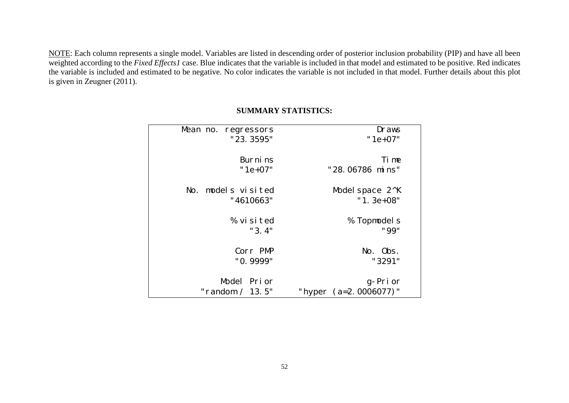NOTE: Each column represents a single model. Variables are listed in descending order of posterior inclusion probability (PIP) and have all been weighted according to the *Fixed Effects1* case. Blue indicates that the variable is included in that model and estimated to be positive. Red indicates the variable is included and estimated to be negative. No color indicates the variable is not included in that model. Further details about this plot is given in Zeugner (2011).

| Draws                 | Mean no. regressors |
|-----------------------|---------------------|
| $"1e+07"$             | "23.3595"           |
| Ti me                 | Burni <sub>ns</sub> |
| "28.06786 mins"       | $"1e+07"$           |
| Model space $2^k$ K   | No. models visited  |
| " $1.3e+08$ "         | "4610663"           |
| % Topmodels           | % visited           |
| "99"                  | "3.4"               |
| No. 0bs.              | Corr PMP            |
| "3291"                | "0.9999"            |
| g-Prior               | Model Prior         |
| "hyper (a=2.0006077)" | "random $/$ 13.5"   |

## **SUMMARY STATISTICS:**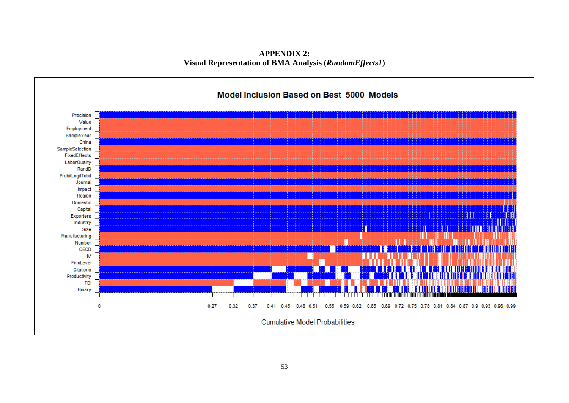**APPENDIX 2: Visual Representation of BMA Analysis (***RandomEffects1***)**